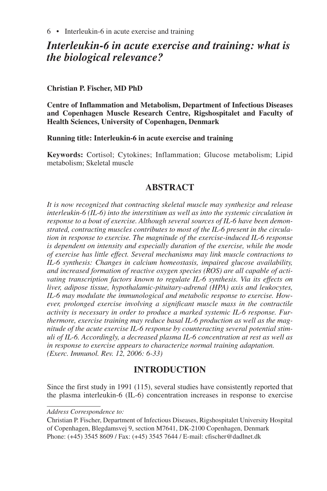# *Interleukin-6 in acute exercise and training: what is the biological relevance?*

### **Christian P. Fischer, MD PhD**

**Centre of Inflammation and Metabolism, Department of Infectious Diseases and Copenhagen Muscle Research Centre, Rigshospitalet and Faculty of Health Sciences, University of Copenhagen, Denmark**

**Running title: Interleukin-6 in acute exercise and training**

**Keywords:** Cortisol; Cytokines; Inflammation; Glucose metabolism; Lipid metabolism; Skeletal muscle

## **ABSTRACT**

*It is now recognized that contracting skeletal muscle may synthesize and release interleukin-6 (IL-6) into the interstitium as well as into the systemic circulation in response to a bout of exercise. Although several sources of IL-6 have been demonstrated, contracting muscles contributes to most of the IL-6 present in the circulation in response to exercise. The magnitude of the exercise-induced IL-6 response is dependent on intensity and especially duration of the exercise, while the mode of exercise has little effect. Several mechanisms may link muscle contractions to IL-6 synthesis: Changes in calcium homeostasis, impaired glucose availability, and increased formation of reactive oxygen species (ROS) are all capable of activating transcription factors known to regulate IL-6 synthesis. Via its effects on liver, adipose tissue, hypothalamic-pituitary-adrenal (HPA) axis and leukocytes, IL-6 may modulate the immunological and metabolic response to exercise. However, prolonged exercise involving a significant muscle mass in the contractile activity is necessary in order to produce a marked systemic IL-6 response. Furthermore, exercise training may reduce basal IL-6 production as well as the magnitude of the acute exercise IL-6 response by counteracting several potential stimuli of IL-6. Accordingly, a decreased plasma IL-6 concentration at rest as well as in response to exercise appears to characterize normal training adaptation. (Exerc. Immunol. Rev. 12, 2006: 6-33)*

## **INTRODUCTION**

Since the first study in 1991 (115), several studies have consistently reported that the plasma interleukin-6 (IL-6) concentration increases in response to exercise

*Address Correspondence to:*

Christian P. Fischer, Department of Infectious Diseases, Rigshospitalet University Hospital of Copenhagen, Blegdamsvej 9, section M7641, DK-2100 Copenhagen, Denmark Phone: (+45) 3545 8609 / Fax: (+45) 3545 7644 / E-mail: cfischer@dadlnet.dk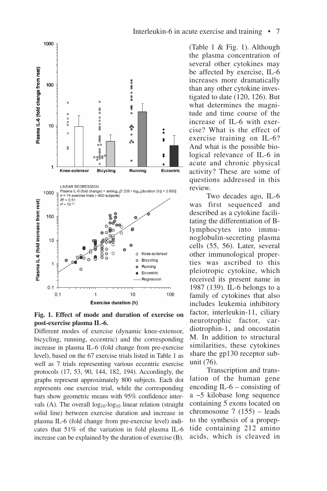



Different modes of exercise (dynamic knee-extensor, bicycling, running, eccentric) and the corresponding increase in plasma IL-6 (fold change from pre-exercise level), based on the 67 exercise trials listed in Table 1 as well as 7 trials representing various eccentric exercise protocols (17, 53, 90, 144, 182, 194). Accordingly, the graphs represent approximately 800 subjects. Each dot represents one exercise trial, while the corresponding bars show geometric means with 95% confidence intervals (A). The overall  $log_{10}$ -log<sub>10</sub> linear relation (straight solid line) between exercise duration and increase in plasma IL-6 (fold change from pre-exercise level) indicates that 51% of the variation in fold plasma IL-6 increase can be explained by the duration of exercise (B).

(Table 1 & Fig. 1). Although the plasma concentration of several other cytokines may be affected by exercise, IL-6 increases more dramatically than any other cytokine investigated to date (120, 126). But what determines the magnitude and time course of the increase of IL-6 with exercise? What is the effect of exercise training on IL-6? And what is the possible biological relevance of IL-6 in acute and chronic physical activity? These are some of questions addressed in this review.

Two decades ago, IL-6 was first sequenced and described as a cytokine facilitating the differentiation of Blymphocytes into immunoglobulin-secreting plasma cells (55, 56). Later, several other immunological properties was ascribed to this pleiotropic cytokine, which received its present name in 1987 (139). IL-6 belongs to a family of cytokines that also includes leukemia inhibitory factor, interleukin-11, ciliary neurotrophic factor, cardiotrophin-1, and oncostatin M. In addition to structural similarities, these cytokines share the gp130 receptor subunit (76).

Transcription and translation of the human gene encoding IL-6 – consisting of a ~5 kilobase long sequence containing 5 exons located on chromosome 7 (155) – leads to the synthesis of a propeptide containing 212 amino acids, which is cleaved in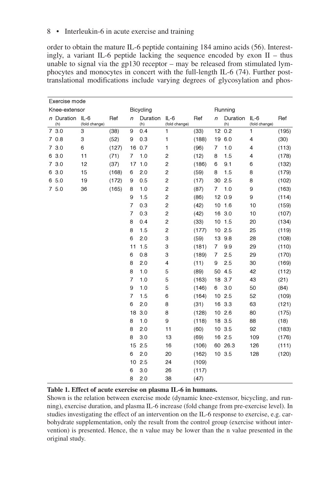8 • Interleukin-6 in acute exercise and training

order to obtain the mature IL-6 peptide containing 184 amino acids (56). Interestingly, a variant IL-6 peptide lacking the sequence encoded by exon  $II -$  thus unable to signal via the gp130 receptor – may be released from stimulated lymphocytes and monocytes in concert with the full-length IL-6 (74). Further posttranslational modifications include varying degrees of glycosylation and phos-

| Exercise mode          |               |       |                |                 |                         |       |         |                 |                         |       |
|------------------------|---------------|-------|----------------|-----------------|-------------------------|-------|---------|-----------------|-------------------------|-------|
| Knee-extensor          |               |       |                | Bicycling       |                         |       | Running |                 |                         |       |
| n Duration IL-6<br>(h) | (fold change) | Ref   | n              | Duration<br>(h) | $IL-6$<br>(fold change) | Ref   | n       | Duration<br>(h) | $IL-6$<br>(fold change) | Ref   |
| 7 3.0                  | 3             | (38)  | 9              | 0.4             | 1                       | (33)  |         | 12 0.2          | 1                       | (195) |
| 70.8                   | 3             | (52)  | 9              | 0.3             | 1                       | (188) |         | 19 6.0          | 4                       | (30)  |
| 73.0                   | 6             | (127) |                | 16 0.7          | 1                       | (96)  | 7       | 1.0             | 4                       | (113) |
| 6 3.0                  | 11            | (71)  | 7              | 1.0             | 2                       | (12)  | 8       | 1.5             | 4                       | (178) |
| 7 3.0                  | 12            | (37)  | 17             | 1.0             | 2                       | (186) | 6       | 9.1             | 6                       | (132) |
| 6 3.0                  | 15            | (168) | 6              | 2.0             | 2                       | (59)  | 8       | 1.5             | 8                       | (179) |
| 6 5.0                  | 19            | (172) | 9              | 0.5             | $\overline{\mathbf{c}}$ | (17)  | 30      | 2.5             | 8                       | (102) |
| 75.0                   | 36            | (165) | 8              | 1.0             | $\overline{\mathbf{c}}$ | (87)  | 7       | 1.0             | 9                       | (163) |
|                        |               |       | 9              | 1.5             | 2                       | (86)  |         | 12 0.9          | 9                       | (114) |
|                        |               |       | 7              | 0.3             | $\overline{\mathbf{c}}$ | (42)  |         | 10 1.6          | 10                      | (159) |
|                        |               |       | $\overline{7}$ | 0.3             | 2                       | (42)  |         | 16 3.0          | 10                      | (107) |
|                        |               |       | 8              | 0.4             | $\overline{\mathbf{c}}$ | (33)  |         | $10$ 1.5        | 20                      | (134) |
|                        |               |       | 8              | 1.5             | $\overline{c}$          | (177) |         | 102.5           | 25                      | (119) |
|                        |               |       | 6              | 2.0             | 3                       | (59)  |         | 13 9.8          | 28                      | (108) |
|                        |               |       | 11             | 1.5             | 3                       | (181) | 7       | 9.9             | 29                      | (110) |
|                        |               |       | 6              | 0.8             | 3                       | (189) | 7       | 2.5             | 29                      | (170) |
|                        |               |       | 8              | 2.0             | 4                       | (11)  | 9       | 2.5             | 30                      | (169) |
|                        |               |       | 8              | 1.0             | 5                       | (89)  |         | 50 4.5          | 42                      | (112) |
|                        |               |       | $\overline{7}$ | 1.0             | 5                       | (163) |         | 18 3.7          | 43                      | (21)  |
|                        |               |       | 9              | 1.0             | 5                       | (146) | 6       | 3.0             | 50                      | (84)  |
|                        |               |       | 7              | 1.5             | 6                       | (164) |         | 102.5           | 52                      | (109) |
|                        |               |       | 6              | 2.0             | 8                       | (31)  |         | 16 3.3          | 63                      | (121) |
|                        |               |       | 18             | 3.0             | 8                       | (128) |         | 102.6           | 80                      | (175) |
|                        |               |       | 8              | 1.0             | 9                       | (118) |         | 18 3.5          | 88                      | (18)  |
|                        |               |       | 8              | 2.0             | 11                      | (60)  |         | 10 3.5          | 92                      | (183) |
|                        |               |       | 8              | 3.0             | 13                      | (69)  |         | 16 2.5          | 109                     | (176) |
|                        |               |       |                | 15 2.5          | 16                      | (106) |         | 60 26.3         | 126                     | (111) |
|                        |               |       | 6              | 2.0             | 20                      | (162) |         | 10 3.5          | 128                     | (120) |
|                        |               |       |                | 10 2.5          | 24                      | (109) |         |                 |                         |       |
|                        |               |       | 6              | 3.0             | 26                      | (117) |         |                 |                         |       |
|                        |               |       | 8              | 2.0             | 38                      | (47)  |         |                 |                         |       |

#### **Table 1. Effect of acute exercise on plasma IL-6 in humans.**

Shown is the relation between exercise mode (dynamic knee-extensor, bicycling, and running), exercise duration, and plasma IL-6 increase (fold change from pre-exercise level). In studies investigating the effect of an intervention on the IL-6 response to exercise, e.g. carbohydrate supplementation, only the result from the control group (exercise without intervention) is presented. Hence, the n value may be lower than the n value presented in the original study.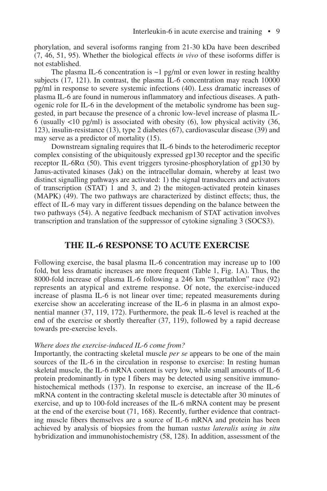phorylation, and several isoforms ranging from 21-30 kDa have been described (7, 46, 51, 95). Whether the biological effects *in vivo* of these isoforms differ is not established.

The plasma IL-6 concentration is  $\sim$ 1 pg/ml or even lower in resting healthy subjects (17, 121). In contrast, the plasma IL-6 concentration may reach 10000 pg/ml in response to severe systemic infections (40). Less dramatic increases of plasma IL-6 are found in numerous inflammatory and infectious diseases. A pathogenic role for IL-6 in the development of the metabolic syndrome has been suggested, in part because the presence of a chronic low-level increase of plasma IL-6 (usually  $\langle 10 \text{ pg/ml}}$ ) is associated with obesity (6), low physical activity (36, 123), insulin-resistance (13), type 2 diabetes (67), cardiovascular disease (39) and may serve as a predictor of mortality (15).

Downstream signaling requires that IL-6 binds to the heterodimeric receptor complex consisting of the ubiquitously expressed gp130 receptor and the specific receptor IL-6R $\alpha$  (50). This event triggers tyrosine-phosphorylation of gp130 by Janus-activated kinases (Jak) on the intracellular domain, whereby at least two distinct signalling pathways are activated: 1) the signal transducers and activators of transcription (STAT) 1 and 3, and 2) the mitogen-activated protein kinases (MAPK) (49). The two pathways are characterized by distinct effects; thus, the effect of IL-6 may vary in different tissues depending on the balance between the two pathways (54). A negative feedback mechanism of STAT activation involves transcription and translation of the suppressor of cytokine signaling 3 (SOCS3).

## **THE IL-6 RESPONSE TO ACUTE EXERCISE**

Following exercise, the basal plasma IL-6 concentration may increase up to 100 fold, but less dramatic increases are more frequent (Table 1, Fig. 1A). Thus, the 8000-fold increase of plasma IL-6 following a 246 km "Spartathlon" race (92) represents an atypical and extreme response. Of note, the exercise-induced increase of plasma IL-6 is not linear over time; repeated measurements during exercise show an accelerating increase of the IL-6 in plasma in an almost exponential manner (37, 119, 172). Furthermore, the peak IL-6 level is reached at the end of the exercise or shortly thereafter (37, 119), followed by a rapid decrease towards pre-exercise levels.

#### *Where does the exercise-induced IL-6 come from?*

Importantly, the contracting skeletal muscle *per se* appears to be one of the main sources of the IL-6 in the circulation in response to exercise: In resting human skeletal muscle, the IL-6 mRNA content is very low, while small amounts of IL-6 protein predominantly in type I fibers may be detected using sensitive immunohistochemical methods (137). In response to exercise, an increase of the IL-6 mRNA content in the contracting skeletal muscle is detectable after 30 minutes of exercise, and up to 100-fold increases of the IL-6 mRNA content may be present at the end of the exercise bout (71, 168). Recently, further evidence that contracting muscle fibers themselves are a source of IL-6 mRNA and protein has been achieved by analysis of biopsies from the human *vastus lateralis using in situ* hybridization and immunohistochemistry (58, 128). In addition, assessment of the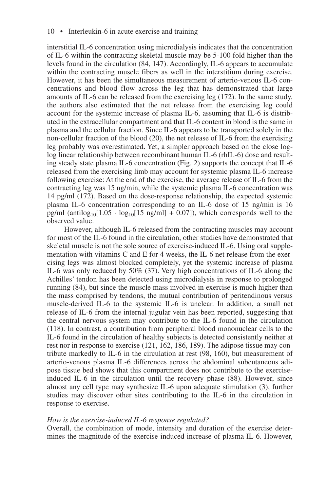interstitial IL-6 concentration using microdialysis indicates that the concentration of IL-6 within the contracting skeletal muscle may be 5-100 fold higher than the levels found in the circulation (84, 147). Accordingly, IL-6 appears to accumulate within the contracting muscle fibers as well in the interstitium during exercise. However, it has been the simultaneous measurement of arterio-venous IL-6 concentrations and blood flow across the leg that has demonstrated that large amounts of IL-6 can be released from the exercising leg (172). In the same study, the authors also estimated that the net release from the exercising leg could account for the systemic increase of plasma IL-6, assuming that IL-6 is distributed in the extracellular compartment and that IL-6 content in blood is the same in plasma and the cellular fraction. Since IL-6 appears to be transported solely in the non-cellular fraction of the blood (20), the net release of IL-6 from the exercising leg probably was overestimated. Yet, a simpler approach based on the close loglog linear relationship between recombinant human IL-6 (rhIL-6) dose and resulting steady state plasma IL-6 concentration (Fig. 2) supports the concept that IL-6 released from the exercising limb may account for systemic plasma IL-6 increase following exercise: At the end of the exercise, the average release of IL-6 from the contracting leg was 15 ng/min, while the systemic plasma IL-6 concentration was 14 pg/ml (172). Based on the dose-response relationship, the expected systemic plasma IL-6 concentration corresponding to an IL-6 dose of 15 ng/min is 16 pg/ml (antilog<sub>10</sub>[1.05  $\cdot$  log<sub>10</sub>[15 ng/ml] + 0.07]), which corresponds well to the observed value.

However, although IL-6 released from the contracting muscles may account for most of the IL-6 found in the circulation, other studies have demonstrated that skeletal muscle is not the sole source of exercise-induced IL-6. Using oral supplementation with vitamins C and E for 4 weeks, the IL-6 net release from the exercising legs was almost blocked completely, yet the systemic increase of plasma IL-6 was only reduced by 50% (37). Very high concentrations of IL-6 along the Achilles' tendon has been detected using microdialysis in response to prolonged running (84), but since the muscle mass involved in exercise is much higher than the mass comprised by tendons, the mutual contribution of peritendinous versus muscle-derived IL-6 to the systemic IL-6 is unclear. In addition, a small net release of IL-6 from the internal jugular vein has been reported, suggesting that the central nervous system may contribute to the IL-6 found in the circulation (118). In contrast, a contribution from peripheral blood mononuclear cells to the IL-6 found in the circulation of healthy subjects is detected consistently neither at rest nor in response to exercise (121, 162, 186, 189). The adipose tissue may contribute markedly to IL-6 in the circulation at rest (98, 160), but measurement of arterio-venous plasma IL-6 differences across the abdominal subcutaneous adipose tissue bed shows that this compartment does not contribute to the exerciseinduced IL-6 in the circulation until the recovery phase (88). However, since almost any cell type may synthesize IL-6 upon adequate stimulation (3), further studies may discover other sites contributing to the IL-6 in the circulation in response to exercise.

#### *How is the exercise-induced IL-6 response regulated?*

Overall, the combination of mode, intensity and duration of the exercise determines the magnitude of the exercise-induced increase of plasma IL-6. However,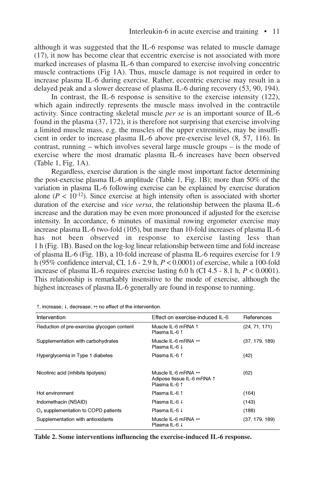although it was suggested that the IL-6 response was related to muscle damage (17), it now has become clear that eccentric exercise is not associated with more marked increases of plasma IL-6 than compared to exercise involving concentric muscle contractions (Fig 1A). Thus, muscle damage is not required in order to increase plasma IL-6 during exercise. Rather, eccentric exercise may result in a delayed peak and a slower decrease of plasma IL-6 during recovery (53, 90, 194).

In contrast, the IL-6 response is sensitive to the exercise intensity (122), which again indirectly represents the muscle mass involved in the contractile activity. Since contracting skeletal muscle *per se* is an important source of IL-6 found in the plasma (37, 172), it is therefore not surprising that exercise involving a limited muscle mass, e.g. the muscles of the upper extremities, may be insufficient in order to increase plasma IL-6 above pre-exercise level (8, 57, 116). In contrast, running – which involves several large muscle groups – is the mode of exercise where the most dramatic plasma IL-6 increases have been observed (Table 1, Fig. 1A).

Regardless, exercise duration is the single most important factor determining the post-exercise plasma IL-6 amplitude (Table 1, Fig. 1B); more than 50% of the variation in plasma IL-6 following exercise can be explained by exercise duration alone  $(P < 10^{-12})$ . Since exercise at high intensity often is associated with shorter duration of the exercise and *vice versa*, the relationship between the plasma IL-6 increase and the duration may be even more pronounced if adjusted for the exercise intensity. In accordance, 6 minutes of maximal rowing ergometer exercise may increase plasma IL-6 two-fold (105), but more than 10-fold increases of plasma IL-6 has not been observed in response to exercise lasting less than 1 h (Fig. 1B). Based on the log-log linear relationship between time and fold increase of plasma IL-6 (Fig. 1B), a 10-fold increase of plasma IL-6 requires exercise for 1.9 h (95% confidence interval, CI, 1.6 - 2.9 h, *P* < 0.0001) of exercise, while a 100-fold increase of plasma IL-6 requires exercise lasting  $6.0$  h (CI  $4.5 - 8.1$  h,  $P < 0.0001$ ). This relationship is remarkably insensitive to the mode of exercise, although the highest increases of plasma IL-6 generally are found in response to running.

| Intervention                               | Effect on exercise-induced IL-6                                                   | References     |
|--------------------------------------------|-----------------------------------------------------------------------------------|----------------|
| Reduction of pre-exercise glycogen content | Muscle IL-6 mRNA 1<br>Plasma IL-6 1                                               | (24, 71, 171)  |
| Supplementation with carbohydrates         | Muscle IL-6 mRNA $\leftrightarrow$<br>Plasma IL-6 ↓                               | (37, 179, 189) |
| Hyperglycemia in Type 1 diabetes           | Plasma IL-6 1                                                                     | (42)           |
| Nicotinic acid (inhibits lipolysis)        | Muscle IL-6 mRNA $\leftrightarrow$<br>Adipose tissue IL-6 mRNA 1<br>Plasma IL-6 1 | (62)           |
| Hot environment                            | Plasma IL-6 1                                                                     | (164)          |
| Indomethacin (NSAID)                       | Plasma IL-6 ↓                                                                     | (143)          |
| $O2$ supplementation to COPD patients      | Plasma IL-6 ↓                                                                     | (188)          |
| Supplementation with antioxidants          | Muscle IL-6 mRNA $\leftrightarrow$<br>Plasma IL-6 ↓                               | (37, 179, 189) |

**Table 2. Some interventions influencing the exercise-induced IL-6 response.**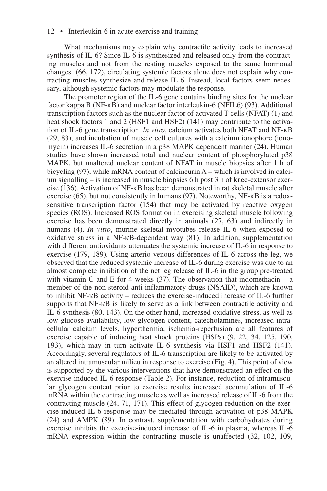What mechanisms may explain why contractile activity leads to increased synthesis of IL-6? Since IL-6 is synthesized and released only from the contracting muscles and not from the resting muscles exposed to the same hormonal changes (66, 172), circulating systemic factors alone does not explain why contracting muscles synthesize and release IL-6. Instead, local factors seem necessary, although systemic factors may modulate the response.

The promoter region of the IL-6 gene contains binding sites for the nuclear factor kappa B (NF-κB) and nuclear factor interleukin-6 (NFIL6) (93). Additional transcription factors such as the nuclear factor of activated T cells (NFAT) (1) and heat shock factors 1 and 2 (HSF1 and HSF2) (141) may contribute to the activation of IL-6 gene transcription. *In vitro*, calcium activates both NFAT and NF-κB (29, 83), and incubation of muscle cell cultures with a calcium ionophore (ionomycin) increases IL-6 secretion in a p38 MAPK dependent manner (24). Human studies have shown increased total and nuclear content of phosphorylated p38 MAPK, but unaltered nuclear content of NFAT in muscle biopsies after 1 h of bicycling (97), while mRNA content of calcineurin A – which is involved in calcium signalling – is increased in muscle biopsies 6 h post 3 h of knee-extensor exercise (136). Activation of NF-κB has been demonstrated in rat skeletal muscle after exercise (65), but not consistently in humans (97). Noteworthy, NF-κB is a redoxsensitive transcription factor (154) that may be activated by reactive oxygen species (ROS). Increased ROS formation in exercising skeletal muscle following exercise has been demonstrated directly in animals (27, 63) and indirectly in humans (4). *In vitro*, murine skeletal myotubes release IL-6 when exposed to oxidative stress in a NF-κB-dependent way (81). In addition, supplementation with different antioxidants attenuates the systemic increase of IL-6 in response to exercise (179, 189). Using arterio-venous differences of IL-6 across the leg, we observed that the reduced systemic increase of IL-6 during exercise was due to an almost complete inhibition of the net leg release of IL-6 in the group pre-treated with vitamin C and E for 4 weeks  $(37)$ . The observation that indomethacin – a member of the non-steroid anti-inflammatory drugs (NSAID), which are known to inhibit NF-κB activity – reduces the exercise-induced increase of IL-6 further supports that NF-κB is likely to serve as a link between contractile activity and IL-6 synthesis (80, 143). On the other hand, increased oxidative stress, as well as low glucose availability, low glycogen content, catecholamines, increased intracellular calcium levels, hyperthermia, ischemia-reperfusion are all features of exercise capable of inducing heat shock proteins (HSPs) (9, 22, 34, 125, 190, 193), which may in turn activate IL-6 synthesis via HSF1 and HSF2 (141). Accordingly, several regulators of IL-6 transcription are likely to be activated by an altered intramuscular milieu in response to exercise (Fig. 4). This point of view is supported by the various interventions that have demonstrated an effect on the exercise-induced IL-6 response (Table 2). For instance, reduction of intramuscular glycogen content prior to exercise results increased accumulation of IL-6 mRNA within the contracting muscle as well as increased release of IL-6 from the contracting muscle (24, 71, 171). This effect of glycogen reduction on the exercise-induced IL-6 response may be mediated through activation of p38 MAPK (24) and AMPK (89). In contrast, supplementation with carbohydrates during exercise inhibits the exercise-induced increase of IL-6 in plasma, whereas IL-6 mRNA expression within the contracting muscle is unaffected (32, 102, 109,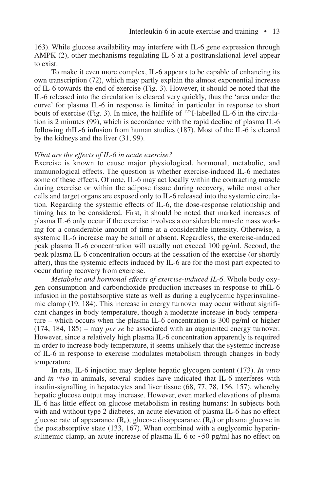163). While glucose availability may interfere with IL-6 gene expression through AMPK (2), other mechanisms regulating IL-6 at a posttranslational level appear to exist.

To make it even more complex, IL-6 appears to be capable of enhancing its own transcription (72), which may partly explain the almost exponential increase of IL-6 towards the end of exercise (Fig. 3). However, it should be noted that the IL-6 released into the circulation is cleared very quickly, thus the 'area under the curve' for plasma IL-6 in response is limited in particular in response to short bouts of exercise (Fig. 3). In mice, the halflife of  $125I$ -labelled IL-6 in the circulation is 2 minutes (99), which is accordance with the rapid decline of plasma IL-6 following rhIL-6 infusion from human studies (187). Most of the IL-6 is cleared by the kidneys and the liver (31, 99).

#### *What are the effects of IL-6 in acute exercise?*

Exercise is known to cause major physiological, hormonal, metabolic, and immunological effects. The question is whether exercise-induced IL-6 mediates some of these effects. Of note, IL-6 may act locally within the contracting muscle during exercise or within the adipose tissue during recovery, while most other cells and target organs are exposed only to IL-6 released into the systemic circulation. Regarding the systemic effects of IL-6, the dose-response relationship and timing has to be considered. First, it should be noted that marked increases of plasma IL-6 only occur if the exercise involves a considerable muscle mass working for a considerable amount of time at a considerable intensity. Otherwise, a systemic IL-6 increase may be small or absent. Regardless, the exercise-induced peak plasma IL-6 concentration will usually not exceed 100 pg/ml. Second, the peak plasma IL-6 concentration occurs at the cessation of the exercise (or shortly after), thus the systemic effects induced by IL-6 are for the most part expected to occur during recovery from exercise.

*Metabolic and hormonal effects of exercise-induced IL-6*. Whole body oxygen consumption and carbondioxide production increases in response to rhIL-6 infusion in the postabsorptive state as well as during a euglycemic hyperinsulinemic clamp (19, 184). This increase in energy turnover may occur without significant changes in body temperature, though a moderate increase in body temperature – which occurs when the plasma IL-6 concentration is 300 pg/ml or higher (174, 184, 185) – may *per se* be associated with an augmented energy turnover. However, since a relatively high plasma IL-6 concentration apparently is required in order to increase body temperature, it seems unlikely that the systemic increase of IL-6 in response to exercise modulates metabolism through changes in body temperature.

In rats, IL-6 injection may deplete hepatic glycogen content (173). *In vitro* and *in vivo* in animals, several studies have indicated that IL-6 interferes with insulin-signalling in hepatocytes and liver tissue (68, 77, 78, 156, 157), whereby hepatic glucose output may increase. However, even marked elevations of plasma IL-6 has little effect on glucose metabolism in resting humans: In subjects both with and without type 2 diabetes, an acute elevation of plasma IL-6 has no effect glucose rate of appearance  $(R_a)$ , glucose disappearance  $(R_d)$  or plasma glucose in the postabsorptive state (133, 167). When combined with a euglycemic hyperinsulinemic clamp, an acute increase of plasma IL-6 to  $\sim$  50 pg/ml has no effect on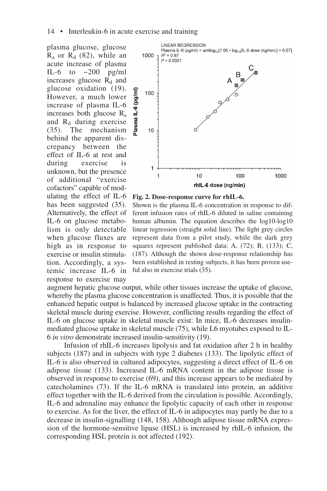plasma glucose, glucose  $R_a$  or  $R_d$  (82), while an acute increase of plasma IL-6 to  $\approx 200$  pg/ml increases glucose  $R_d$  and glucose oxidation (19). However, a much lower increase of plasma IL-6 increases both glucose Ra and  $R_d$  during exercise (35). The mechanism behind the apparent discrepancy between the effect of IL-6 at rest and during exercise is unknown, but the presence of additional "exercise cofactors" capable of modulating the effect of IL-6 has been suggested (35). Alternatively, the effect of IL-6 on glucose metabolism is only detectable when glucose fluxes are high as in response to exercise or insulin stimulation. Accordingly, a systemic increase IL-6 in response to exercise may



#### **Fig. 2. Dose-response curve for rhIL-6.**

Shown is the plasma IL-6 concentration in response to different infusion rates of rhIL-6 diluted in saline containing human albumin. The equation describes the log10-log10 linear regression (straight solid line). The light grey circles represent data from a pilot study, while the dark grey squares represent published data: A, (72); B, (133); C, (187). Although the shown dose-response relationship has been established in resting subjects, it has been proven useful also in exercise trials (35).

augment hepatic glucose output, while other tissues increase the uptake of glucose, whereby the plasma glucose concentration is unaffected. Thus, it is possible that the enhanced hepatic output is balanced by increased glucose uptake in the contracting skeletal muscle during exercise. However, conflicting results regarding the effect of IL-6 on glucose uptake in skeletal muscle exist: In mice, IL-6 decreases insulinmediated glucose uptake in skeletal muscle (75), while L6 myotubes exposed to IL-6 *in vitro* demonstrate increased insulin-sensitivity (19).

Infusion of rhIL-6 increases lipolysis and fat oxidation after 2 h in healthy subjects (187) and in subjects with type 2 diabetes (133). The lipolytic effect of IL-6 is also observed in cultured adipocytes, suggesting a direct effect of IL-6 on adipose tissue (133). Increased IL-6 mRNA content in the adipose tissue is observed in response to exercise (69), and this increase appears to be mediated by catecholamines (73). If the IL-6 mRNA is translated into protein, an additive effect together with the IL-6 derived from the circulation is possible. Accordingly, IL-6 and adrenaline may enhance the lipolytic capacity of each other in response to exercise. As for the liver, the effect of IL-6 in adipocytes may partly be due to a decrease in insulin-signalling (148, 158). Although adipose tissue mRNA expression of the hormone-sensitive lipase (HSL) is increased by rhIL-6 infusion, the corresponding HSL protein is not affected (192).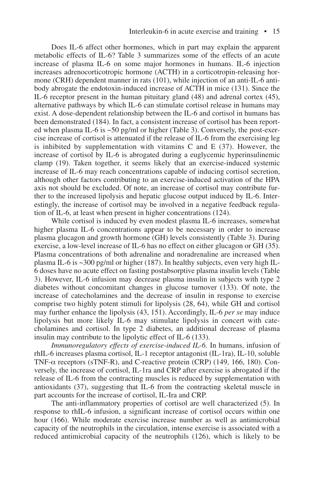Does IL-6 affect other hormones, which in part may explain the apparent metabolic effects of IL-6? Table 3 summarizes some of the effects of an acute increase of plasma IL-6 on some major hormones in humans. IL-6 injection increases adrenocorticotropic hormone (ACTH) in a corticotropin-releasing hormone (CRH) dependent manner in rats (101), while injection of an anti-IL-6 antibody abrogate the endotoxin-induced increase of ACTH in mice (131). Since the IL-6 receptor present in the human pituitary gland (48) and adrenal cortex (45), alternative pathways by which IL-6 can stimulate cortisol release in humans may exist. A dose-dependent relationship between the IL-6 and cortisol in humans has been demonstrated (184). In fact, a consistent increase of cortisol has been reported when plasma IL-6 is ~50 pg/ml or higher (Table 3). Conversely, the post-exercise increase of cortisol is attenuated if the release of IL-6 from the exercising leg is inhibited by supplementation with vitamins C and E  $(37)$ . However, the increase of cortisol by IL-6 is abrogated during a euglycemic hyperinsulinemic clamp (19). Taken together, it seems likely that an exercise-induced systemic increase of IL-6 may reach concentrations capable of inducing cortisol secretion, although other factors contributing to an exercise-induced activation of the HPA axis not should be excluded. Of note, an increase of cortisol may contribute further to the increased lipolysis and hepatic glucose output induced by IL-6. Interestingly, the increase of cortisol may be involved in a negative feedback regulation of IL-6, at least when present in higher concentrations (124).

While cortisol is induced by even modest plasma IL-6 increases, somewhat higher plasma IL-6 concentrations appear to be necessary in order to increase plasma glucagon and growth hormone (GH) levels consistently (Table 3). During exercise, a low-level increase of IL-6 has no effect on either glucagon or GH (35). Plasma concentrations of both adrenaline and noradrenaline are increased when plasma IL-6 is ~300 pg/ml or higher (187). In healthy subjects, even very high IL-6 doses have no acute effect on fasting postabsorptive plasma insulin levels (Table 3). However, IL-6 infusion may decrease plasma insulin in subjects with type 2 diabetes without concomitant changes in glucose turnover (133). Of note, the increase of catecholamines and the decrease of insulin in response to exercise comprise two highly potent stimuli for lipolysis (28, 64), while GH and cortisol may further enhance the lipolysis (43, 151). Accordingly, IL-6 *per se* may induce lipolysis but more likely IL-6 may stimulate lipolysis in concert with catecholamines and cortisol. In type 2 diabetes, an additional decrease of plasma insulin may contribute to the lipolytic effect of IL-6 (133).

*Immunoregulatory effects of exercise-induced IL-6.* In humans, infusion of rhIL-6 increases plasma cortisol, IL-1 receptor antagonist (IL-1ra), IL-10, soluble TNF-α receptors (sTNF-R), and C-reactive protein (CRP) (149, 166, 180). Conversely, the increase of cortisol, IL-1ra and CRP after exercise is abrogated if the release of IL-6 from the contracting muscles is reduced by supplementation with antioxidants (37), suggesting that IL-6 from the contracting skeletal muscle in part accounts for the increase of cortisol, IL-Ira and CRP.

The anti-inflammatory properties of cortisol are well characterized (5). In response to rhIL-6 infusion, a significant increase of cortisol occurs within one hour (166). While moderate exercise increase number as well as antimicrobial capacity of the neutrophils in the circulation, intense exercise is associated with a reduced antimicrobial capacity of the neutrophils (126), which is likely to be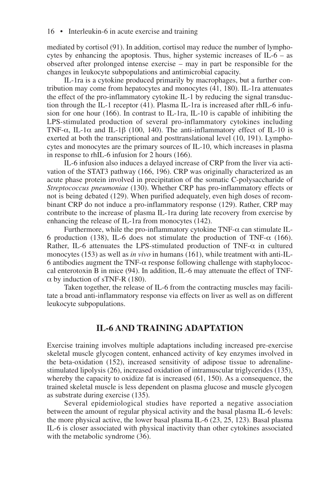mediated by cortisol (91). In addition, cortisol may reduce the number of lymphocytes by enhancing the apoptosis. Thus, higher systemic increases of  $IL-6 - as$ observed after prolonged intense exercise – may in part be responsible for the changes in leukocyte subpopulations and antimicrobial capacity.

IL-1ra is a cytokine produced primarily by macrophages, but a further contribution may come from hepatocytes and monocytes (41, 180). IL-1ra attenuates the effect of the pro-inflammatory cytokine IL-1 by reducing the signal transduction through the IL-1 receptor (41). Plasma IL-1ra is increased after rhIL-6 infusion for one hour  $(166)$ . In contrast to IL-1ra, IL-10 is capable of inhibiting the LPS-stimulated production of several pro-inflammatory cytokines including TNF- $\alpha$ , IL-1 $\alpha$  and IL-1 $\beta$  (100, 140). The anti-inflammatory effect of IL-10 is exerted at both the transcriptional and posttranslational level (10, 191). Lymphocytes and monocytes are the primary sources of IL-10, which increases in plasma in response to rhIL-6 infusion for 2 hours (166).

IL-6 infusion also induces a delayed increase of CRP from the liver via activation of the STAT3 pathway (166, 196). CRP was originally characterized as an acute phase protein involved in precipitation of the somatic C-polysaccharide of *Streptococcus pneumoniae* (130). Whether CRP has pro-inflammatory effects or not is being debated (129). When purified adequately, even high doses of recombinant CRP do not induce a pro-inflammatory response (129). Rather, CRP may contribute to the increase of plasma IL-1ra during late recovery from exercise by enhancing the release of IL-1ra from monocytes (142).

Furthermore, while the pro-inflammatory cytokine  $TNF-\alpha$  can stimulate IL-6 production (138), IL-6 does not stimulate the production of TNF- $\alpha$  (166). Rather, IL-6 attenuates the LPS-stimulated production of TNF- $\alpha$  in cultured monocytes (153) as well as *in vivo* in humans (161), while treatment with anti-IL-6 antibodies augment the TNF- $\alpha$  response following challenge with staphylococcal enterotoxin B in mice (94). In addition, IL-6 may attenuate the effect of TNF- $\alpha$  by induction of sTNF-R (180).

Taken together, the release of IL-6 from the contracting muscles may facilitate a broad anti-inflammatory response via effects on liver as well as on different leukocyte subpopulations.

## **IL-6 AND TRAINING ADAPTATION**

Exercise training involves multiple adaptations including increased pre-exercise skeletal muscle glycogen content, enhanced activity of key enzymes involved in the beta-oxidation (152), increased sensitivity of adipose tissue to adrenalinestimulated lipolysis (26), increased oxidation of intramuscular triglycerides (135), whereby the capacity to oxidize fat is increased (61, 150). As a consequence, the trained skeletal muscle is less dependent on plasma glucose and muscle glycogen as substrate during exercise (135).

Several epidemiological studies have reported a negative association between the amount of regular physical activity and the basal plasma IL-6 levels: the more physical active, the lower basal plasma IL-6 (23, 25, 123). Basal plasma IL-6 is closer associated with physical inactivity than other cytokines associated with the metabolic syndrome (36).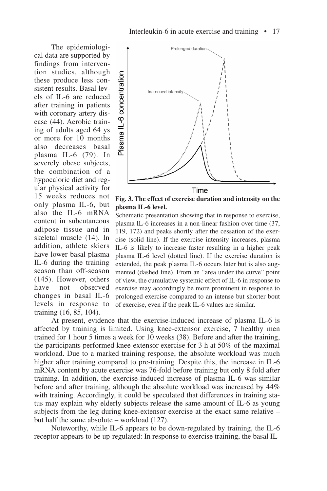The epidemiological data are supported by findings from intervention studies, although these produce less consistent results. Basal levels of IL-6 are reduced after training in patients with coronary artery disease (44). Aerobic training of adults aged 64 ys or more for 10 months also decreases basal plasma IL-6 (79). In severely obese subjects, the combination of a hypocaloric diet and regular physical activity for 15 weeks reduces not only plasma IL-6, but also the IL-6 mRNA content in subcutaneous adipose tissue and in skeletal muscle (14). In addition, athlete skiers have lower basal plasma IL-6 during the training season than off-season (145). However, others have not observed changes in basal IL-6 levels in response to training (16, 85, 104).



**Fig. 3. The effect of exercise duration and intensity on the plasma IL-6 level.**

Schematic presentation showing that in response to exercise, plasma IL-6 increases in a non-linear fashion over time (37, 119, 172) and peaks shortly after the cessation of the exercise (solid line). If the exercise intensity increases, plasma IL-6 is likely to increase faster resulting in a higher peak plasma IL-6 level (dotted line). If the exercise duration is extended, the peak plasma IL-6 occurs later but is also augmented (dashed line). From an "area under the curve" point of view, the cumulative systemic effect of IL-6 in response to exercise may accordingly be more prominent in response to prolonged exercise compared to an intense but shorter bout of exercise, even if the peak IL-6 values are similar.

At present, evidence that the exercise-induced increase of plasma IL-6 is affected by training is limited. Using knee-extensor exercise, 7 healthy men trained for 1 hour 5 times a week for 10 weeks (38). Before and after the training, the participants performed knee-extensor exercise for 3 h at 50% of the maximal workload. Due to a marked training response, the absolute workload was much higher after training compared to pre-training. Despite this, the increase in IL-6 mRNA content by acute exercise was 76-fold before training but only 8 fold after training. In addition, the exercise-induced increase of plasma IL-6 was similar before and after training, although the absolute workload was increased by 44% with training. Accordingly, it could be speculated that differences in training status may explain why elderly subjects release the same amount of IL-6 as young subjects from the leg during knee-extensor exercise at the exact same relative – but half the same absolute – workload (127).

Noteworthy, while IL-6 appears to be down-regulated by training, the IL-6 receptor appears to be up-regulated: In response to exercise training, the basal IL-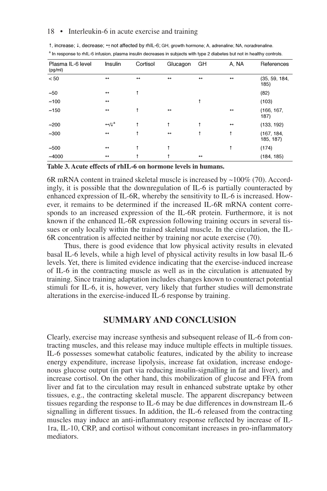| Plasma IL-6 level<br>(pg/ml) | Insulin                                     | Cortisol          | Glucagon          | GH                | A, NA             | References              |
|------------------------------|---------------------------------------------|-------------------|-------------------|-------------------|-------------------|-------------------------|
| $< 50$                       | $\leftrightarrow$                           | $\leftrightarrow$ | $\leftrightarrow$ | $\leftrightarrow$ | $\leftrightarrow$ | (35, 59, 184,<br>185)   |
| $-50$                        | $\leftrightarrow$                           | î                 |                   |                   |                   | (82)                    |
| ~100                         | $\leftrightarrow$                           |                   |                   | î                 |                   | (103)                   |
| ~150                         | $\leftrightarrow$                           | î                 | $\leftrightarrow$ |                   | $\leftrightarrow$ | (166, 167,<br>187)      |
| $-200$                       | $\leftrightarrow / \downarrow$ <sup>a</sup> | î                 | 1                 |                   | $\leftrightarrow$ | (133, 192)              |
| $-300$                       | $\leftrightarrow$                           | î                 | $\leftrightarrow$ | î                 | Ť                 | (167, 184,<br>185, 187) |
| $-500$                       | $\leftrightarrow$                           | î                 | +                 |                   | t                 | (174)                   |
| $-4000$                      | $\leftrightarrow$                           |                   |                   | $\leftrightarrow$ |                   | (184, 185)              |

1, increase; ↓, decrease; ↔ not affected by rhIL-6; GH, growth hormone; A, adrenaline; NA, noradrenaline. <sup>a</sup> In response to rhIL-6 infusion, plasma insulin decreases in subjects with type 2 diabetes but not in healthy controls.

**Table 3. Acute effects of rhIL-6 on hormone levels in humans.**

6R mRNA content in trained skeletal muscle is increased by ~100% (70). Accordingly, it is possible that the downregulation of IL-6 is partially counteracted by enhanced expression of IL-6R, whereby the sensitivity to IL-6 is increased. However, it remains to be determined if the increased IL-6R mRNA content corresponds to an increased expression of the IL-6R protein. Furthermore, it is not known if the enhanced IL-6R expression following training occurs in several tissues or only locally within the trained skeletal muscle. In the circulation, the IL-6R concentration is affected neither by training nor acute exercise (70).

Thus, there is good evidence that low physical activity results in elevated basal IL-6 levels, while a high level of physical activity results in low basal IL-6 levels. Yet, there is limited evidence indicating that the exercise-induced increase of IL-6 in the contracting muscle as well as in the circulation is attenuated by training. Since training adaptation includes changes known to counteract potential stimuli for IL-6, it is, however, very likely that further studies will demonstrate alterations in the exercise-induced IL-6 response by training.

## **SUMMARY AND CONCLUSION**

Clearly, exercise may increase synthesis and subsequent release of IL-6 from contracting muscles, and this release may induce multiple effects in multiple tissues. IL-6 possesses somewhat catabolic features, indicated by the ability to increase energy expenditure, increase lipolysis, increase fat oxidation, increase endogenous glucose output (in part via reducing insulin-signalling in fat and liver), and increase cortisol. On the other hand, this mobilization of glucose and FFA from liver and fat to the circulation may result in enhanced substrate uptake by other tissues, e.g., the contracting skeletal muscle. The apparent discrepancy between tissues regarding the response to IL-6 may be due differences in downstream IL-6 signalling in different tissues. In addition, the IL-6 released from the contracting muscles may induce an anti-inflammatory response reflected by increase of IL-1ra, IL-10, CRP, and cortisol without concomitant increases in pro-inflammatory mediators.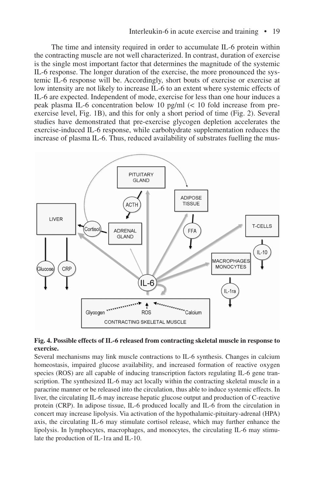The time and intensity required in order to accumulate IL-6 protein within the contracting muscle are not well characterized. In contrast, duration of exercise is the single most important factor that determines the magnitude of the systemic IL-6 response. The longer duration of the exercise, the more pronounced the systemic IL-6 response will be. Accordingly, short bouts of exercise or exercise at low intensity are not likely to increase IL-6 to an extent where systemic effects of IL-6 are expected. Independent of mode, exercise for less than one hour induces a peak plasma IL-6 concentration below 10 pg/ml (< 10 fold increase from preexercise level, Fig. 1B), and this for only a short period of time (Fig. 2). Several studies have demonstrated that pre-exercise glycogen depletion accelerates the exercise-induced IL-6 response, while carbohydrate supplementation reduces the increase of plasma IL-6. Thus, reduced availability of substrates fuelling the mus-



#### **Fig. 4. Possible effects of IL-6 released from contracting skeletal muscle in response to exercise.**

Several mechanisms may link muscle contractions to IL-6 synthesis. Changes in calcium homeostasis, impaired glucose availability, and increased formation of reactive oxygen species (ROS) are all capable of inducing transcription factors regulating IL-6 gene transcription. The synthesized IL-6 may act locally within the contracting skeletal muscle in a paracrine manner or be released into the circulation, thus able to induce systemic effects. In liver, the circulating IL-6 may increase hepatic glucose output and production of C-reactive protein (CRP). In adipose tissue, IL-6 produced locally and IL-6 from the circulation in concert may increase lipolysis. Via activation of the hypothalamic-pituitary-adrenal (HPA) axis, the circulating IL-6 may stimulate cortisol release, which may further enhance the lipolysis. In lymphocytes, macrophages, and monocytes, the circulating IL-6 may stimulate the production of IL-1ra and IL-10.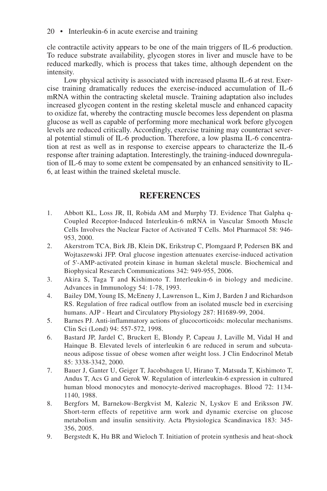cle contractile activity appears to be one of the main triggers of IL-6 production. To reduce substrate availability, glycogen stores in liver and muscle have to be reduced markedly, which is process that takes time, although dependent on the intensity.

Low physical activity is associated with increased plasma IL-6 at rest. Exercise training dramatically reduces the exercise-induced accumulation of IL-6 mRNA within the contracting skeletal muscle. Training adaptation also includes increased glycogen content in the resting skeletal muscle and enhanced capacity to oxidize fat, whereby the contracting muscle becomes less dependent on plasma glucose as well as capable of performing more mechanical work before glycogen levels are reduced critically. Accordingly, exercise training may counteract several potential stimuli of IL-6 production. Therefore, a low plasma IL-6 concentration at rest as well as in response to exercise appears to characterize the IL-6 response after training adaptation. Interestingly, the training-induced downregulation of IL-6 may to some extent be compensated by an enhanced sensitivity to IL-6, at least within the trained skeletal muscle.

## **REFERENCES**

- 1. Abbott KL, Loss JR, II, Robida AM and Murphy TJ. Evidence That Galpha q-Coupled Receptor-Induced Interleukin-6 mRNA in Vascular Smooth Muscle Cells Involves the Nuclear Factor of Activated T Cells. Mol Pharmacol 58: 946- 953, 2000.
- 2. Akerstrom TCA, Birk JB, Klein DK, Erikstrup C, Plomgaard P, Pedersen BK and Wojtaszewski JFP. Oral glucose ingestion attenuates exercise-induced activation of 5'-AMP-activated protein kinase in human skeletal muscle. Biochemical and Biophysical Research Communications 342: 949-955, 2006.
- 3. Akira S, Taga T and Kishimoto T. Interleukin-6 in biology and medicine. Advances in Immunology 54: 1-78, 1993.
- 4. Bailey DM, Young IS, McEneny J, Lawrenson L, Kim J, Barden J and Richardson RS. Regulation of free radical outflow from an isolated muscle bed in exercising humans. AJP - Heart and Circulatory Physiology 287: H1689-99, 2004.
- 5. Barnes PJ. Anti-inflammatory actions of glucocorticoids: molecular mechanisms. Clin Sci (Lond) 94: 557-572, 1998.
- 6. Bastard JP, Jardel C, Bruckert E, Blondy P, Capeau J, Laville M, Vidal H and Hainque B. Elevated levels of interleukin 6 are reduced in serum and subcutaneous adipose tissue of obese women after weight loss. J Clin Endocrinol Metab 85: 3338-3342, 2000.
- 7. Bauer J, Ganter U, Geiger T, Jacobshagen U, Hirano T, Matsuda T, Kishimoto T, Andus T, Acs G and Gerok W. Regulation of interleukin-6 expression in cultured human blood monocytes and monocyte-derived macrophages. Blood 72: 1134- 1140, 1988.
- 8. Bergfors M, Barnekow-Bergkvist M, Kalezic N, Lyskov E and Eriksson JW. Short-term effects of repetitive arm work and dynamic exercise on glucose metabolism and insulin sensitivity. Acta Physiologica Scandinavica 183: 345- 356, 2005.
- 9. Bergstedt K, Hu BR and Wieloch T. Initiation of protein synthesis and heat-shock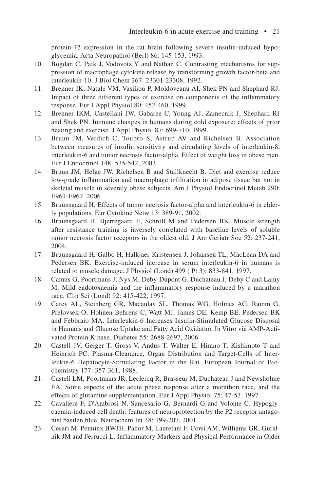protein-72 expression in the rat brain following severe insulin-induced hypoglycemia. Acta Neuropathol (Berl) 86: 145-153, 1993.

- 10. Bogdan C, Paik J, Vodovotz Y and Nathan C. Contrasting mechanisms for suppression of macrophage cytokine release by transforming growth factor-beta and interleukin-10. J Biol Chem 267: 23301-23308, 1992.
- 11. Brenner IK, Natale VM, Vasiliou P, Moldoveanu AI, Shek PN and Shephard RJ. Impact of three different types of exercise on components of the inflammatory response. Eur J Appl Physiol 80: 452-460, 1999.
- 12. Brenner IKM, Castellani JW, Gabaree C, Young AJ, Zamecnik J, Shephard RJ and Shek PN. Immune changes in humans during cold exposure: effects of prior heating and exercise. J Appl Physiol 87: 699-710, 1999.
- 13. Bruun JM, Verdich C, Toubro S, Astrup AV and Richelsen B. Association between measures of insulin sensitivity and circulating levels of interleukin-8, interleukin-6 and tumor necrosis factor-alpha. Effect of weight loss in obese men. Eur J Endocrinol 148: 535-542, 2003.
- 14. Bruun JM, Helge JW, Richelsen B and Stallknecht B. Diet and exercise reduce low-grade inflammation and macrophage infiltration in adipose tissue but not in skeletal muscle in severely obese subjects. Am J Physiol Endocrinol Metab 290: E961-E967, 2006.
- 15. Bruunsgaard H. Effects of tumor necrosis factor-alpha and interleukin-6 in elderly populations. Eur Cytokine Netw 13: 389-91, 2002.
- 16. Bruunsgaard H, Bjerregaard E, Schroll M and Pedersen BK. Muscle strength after resistance training is inversely correlated with baseline levels of soluble tumor necrosis factor receptors in the oldest old. J Am Geriatr Soc 52: 237-241, 2004.
- 17. Bruunsgaard H, Galbo H, Halkjaer-Kristensen J, Johansen TL, MacLean DA and Pedersen BK. Exercise-induced increase in serum interleukin-6 in humans is related to muscle damage. J Physiol (Lond) 499 ( Pt 3): 833-841, 1997.
- 18. Camus G, Poortmans J, Nys M, Deby-Dupont G, Duchateau J, Deby C and Lamy M. Mild endotoxaemia and the inflammatory response induced by a marathon race. Clin Sci (Lond) 92: 415-422, 1997.
- 19. Carey AL, Steinberg GR, Macaulay SL, Thomas WG, Holmes AG, Ramm G, Prelovsek O, Hohnen-Behrens C, Watt MJ, James DE, Kemp BE, Pedersen BK and Febbraio MA. Interleukin-6 Increases Insulin-Stimulated Glucose Disposal in Humans and Glucose Uptake and Fatty Acid Oxidation In Vitro via AMP-Activated Protein Kinase. Diabetes 55: 2688-2697, 2006.
- 20. Castell JV, Geiger T, Gross V, Andus T, Walter E, Hirano T, Kishimoto T and Heinrich PC. Plasma-Clearance, Organ Distribution and Target-Cells of Interleukin-6 Hepatocyte-Stimulating Factor in the Rat. European Journal of Biochemistry 177: 357-361, 1988.
- 21. Castell LM, Poortmans JR, Leclercq R, Brasseur M, Duchateau J and Newsholme EA. Some aspects of the acute phase response after a marathon race, and the effects of glutamine supplementation. Eur J Appl Physiol 75: 47-53, 1997.
- 22. Cavaliere F, D'Ambrosi N, Sancesario G, Bernardi G and Volonte C. Hypoglycaemia-induced cell death: features of neuroprotection by the P2 receptor antagonist basilen blue. Neurochem Int 38: 199-207, 2001.
- 23. Cesari M, Penninx BWJH, Pahor M, Lauretani F, Corsi AM, Williams GR, Guralnik JM and Ferrucci L. Inflammatory Markers and Physical Performance in Older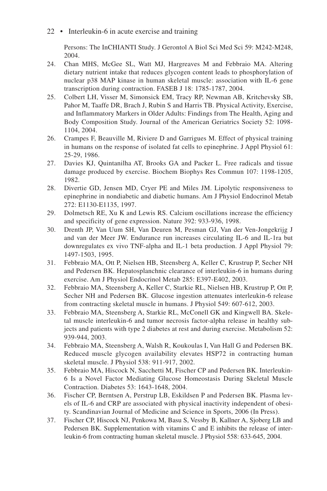Persons: The InCHIANTI Study. J Gerontol A Biol Sci Med Sci 59: M242-M248, 2004.

- 24. Chan MHS, McGee SL, Watt MJ, Hargreaves M and Febbraio MA. Altering dietary nutrient intake that reduces glycogen content leads to phosphorylation of nuclear p38 MAP kinase in human skeletal muscle: association with IL-6 gene transcription during contraction. FASEB J 18: 1785-1787, 2004.
- 25. Colbert LH, Visser M, Simonsick EM, Tracy RP, Newman AB, Kritchevsky SB, Pahor M, Taaffe DR, Brach J, Rubin S and Harris TB. Physical Activity, Exercise, and Inflammatory Markers in Older Adults: Findings from The Health, Aging and Body Composition Study. Journal of the American Geriatrics Society 52: 1098- 1104, 2004.
- 26. Crampes F, Beauville M, Riviere D and Garrigues M. Effect of physical training in humans on the response of isolated fat cells to epinephrine. J Appl Physiol 61: 25-29, 1986.
- 27. Davies KJ, Quintanilha AT, Brooks GA and Packer L. Free radicals and tissue damage produced by exercise. Biochem Biophys Res Commun 107: 1198-1205, 1982.
- 28. Divertie GD, Jensen MD, Cryer PE and Miles JM. Lipolytic responsiveness to epinephrine in nondiabetic and diabetic humans. Am J Physiol Endocrinol Metab 272: E1130-E1135, 1997.
- 29. Dolmetsch RE, Xu K and Lewis RS. Calcium oscillations increase the efficiency and specificity of gene expression. Nature 392: 933-936, 1998.
- 30. Drenth JP, Van Uum SH, Van Deuren M, Pesman GJ, Van der Ven-Jongekrijg J and van der Meer JW. Endurance run increases circulating IL-6 and IL-1ra but downregulates ex vivo TNF-alpha and IL-1 beta production. J Appl Physiol 79: 1497-1503, 1995.
- 31. Febbraio MA, Ott P, Nielsen HB, Steensberg A, Keller C, Krustrup P, Secher NH and Pedersen BK. Hepatosplanchnic clearance of interleukin-6 in humans during exercise. Am J Physiol Endocrinol Metab 285: E397-E402, 2003.
- 32. Febbraio MA, Steensberg A, Keller C, Starkie RL, Nielsen HB, Krustrup P, Ott P, Secher NH and Pedersen BK. Glucose ingestion attenuates interleukin-6 release from contracting skeletal muscle in humans. J Physiol 549: 607-612, 2003.
- 33. Febbraio MA, Steensberg A, Starkie RL, McConell GK and Kingwell BA. Skeletal muscle interleukin-6 and tumor necrosis factor-alpha release in healthy subjects and patients with type 2 diabetes at rest and during exercise. Metabolism 52: 939-944, 2003.
- 34. Febbraio MA, Steensberg A, Walsh R, Koukoulas I, Van Hall G and Pedersen BK. Reduced muscle glycogen availability elevates HSP72 in contracting human skeletal muscle. J Physiol 538: 911-917, 2002.
- 35. Febbraio MA, Hiscock N, Sacchetti M, Fischer CP and Pedersen BK. Interleukin-6 Is a Novel Factor Mediating Glucose Homeostasis During Skeletal Muscle Contraction. Diabetes 53: 1643-1648, 2004.
- 36. Fischer CP, Berntsen A, Perstrup LB, Eskildsen P and Pedersen BK. Plasma levels of IL-6 and CRP are associated with physical inactivity independent of obesity. Scandinavian Journal of Medicine and Science in Sports, 2006 (In Press).
- 37. Fischer CP, Hiscock NJ, Penkowa M, Basu S, Vessby B, Kallner A, Sjoberg LB and Pedersen BK. Supplementation with vitamins C and E inhibits the release of interleukin-6 from contracting human skeletal muscle. J Physiol 558: 633-645, 2004.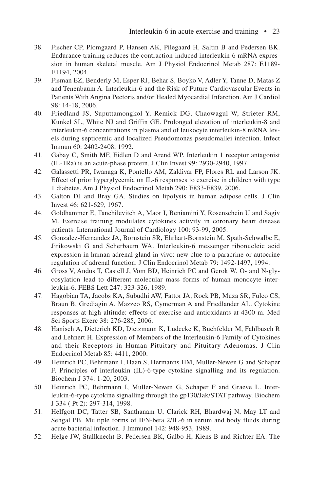- 38. Fischer CP, Plomgaard P, Hansen AK, Pilegaard H, Saltin B and Pedersen BK. Endurance training reduces the contraction-induced interleukin-6 mRNA expression in human skeletal muscle. Am J Physiol Endocrinol Metab 287: E1189- E1194, 2004.
- 39. Fisman EZ, Benderly M, Esper RJ, Behar S, Boyko V, Adler Y, Tanne D, Matas Z and Tenenbaum A. Interleukin-6 and the Risk of Future Cardiovascular Events in Patients With Angina Pectoris and/or Healed Myocardial Infarction. Am J Cardiol 98: 14-18, 2006.
- 40. Friedland JS, Suputtamongkol Y, Remick DG, Chaowagul W, Strieter RM, Kunkel SL, White NJ and Griffin GE. Prolonged elevation of interleukin-8 and interleukin-6 concentrations in plasma and of leukocyte interleukin-8 mRNA levels during septicemic and localized Pseudomonas pseudomallei infection. Infect Immun 60: 2402-2408, 1992.
- 41. Gabay C, Smith MF, Eidlen D and Arend WP. Interleukin 1 receptor antagonist (IL-1Ra) is an acute-phase protein. J Clin Invest 99: 2930-2940, 1997.
- 42. Galassetti PR, Iwanaga K, Pontello AM, Zaldivar FP, Flores RL and Larson JK. Effect of prior hyperglycemia on IL-6 responses to exercise in children with type 1 diabetes. Am J Physiol Endocrinol Metab 290: E833-E839, 2006.
- 43. Galton DJ and Bray GA. Studies on lipolysis in human adipose cells. J Clin Invest 46: 621-629, 1967.
- 44. Goldhammer E, Tanchilevitch A, Maor I, Beniamini Y, Rosenschein U and Sagiv M. Exercise training modulates cytokines activity in coronary heart disease patients. International Journal of Cardiology 100: 93-99, 2005.
- 45. Gonzalez-Hernandez JA, Bornstein SR, Ehrhart-Bornstein M, Spath-Schwalbe E, Jirikowski G and Scherbaum WA. Interleukin-6 messenger ribonucleic acid expression in human adrenal gland in vivo: new clue to a paracrine or autocrine regulation of adrenal function. J Clin Endocrinol Metab 79: 1492-1497, 1994.
- 46. Gross V, Andus T, Castell J, Vom BD, Heinrich PC and Gerok W. O- and N-glycosylation lead to different molecular mass forms of human monocyte interleukin-6. FEBS Lett 247: 323-326, 1989.
- 47. Hagobian TA, Jacobs KA, Subudhi AW, Fattor JA, Rock PB, Muza SR, Fulco CS, Braun B, Grediagin A, Mazzeo RS, Cymerman A and Friedlander AL. Cytokine responses at high altitude: effects of exercise and antioxidants at 4300 m. Med Sci Sports Exerc 38: 276-285, 2006.
- 48. Hanisch A, Dieterich KD, Dietzmann K, Ludecke K, Buchfelder M, Fahlbusch R and Lehnert H. Expression of Members of the Interleukin-6 Family of Cytokines and their Receptors in Human Pituitary and Pituitary Adenomas. J Clin Endocrinol Metab 85: 4411, 2000.
- 49. Heinrich PC, Behrmann I, Haan S, Hermanns HM, Muller-Newen G and Schaper F. Principles of interleukin (IL)-6-type cytokine signalling and its regulation. Biochem J 374: 1-20, 2003.
- 50. Heinrich PC, Behrmann I, Muller-Newen G, Schaper F and Graeve L. Interleukin-6-type cytokine signalling through the gp130/Jak/STAT pathway. Biochem J 334 ( Pt 2): 297-314, 1998.
- 51. Helfgott DC, Tatter SB, Santhanam U, Clarick RH, Bhardwaj N, May LT and Sehgal PB. Multiple forms of IFN-beta 2/IL-6 in serum and body fluids during acute bacterial infection. J Immunol 142: 948-953, 1989.
- 52. Helge JW, Stallknecht B, Pedersen BK, Galbo H, Kiens B and Richter EA. The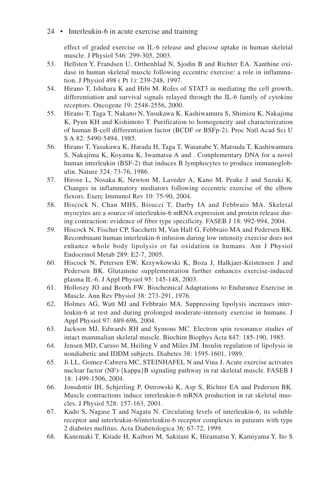effect of graded exercise on IL-6 release and glucose uptake in human skeletal muscle. J Physiol 546: 299-305, 2003.

- 53. Hellsten Y, Frandsen U, Orthenblad N, Sjodin B and Richter EA. Xanthine oxidase in human skeletal muscle following eccentric exercise: a role in inflammation. J Physiol 498 ( Pt 1): 239-248, 1997.
- 54. Hirano T, Ishihara K and Hibi M. Roles of STAT3 in mediating the cell growth, differentiation and survival signals relayed through the IL-6 family of cytokine receptors. Oncogene 19: 2548-2556, 2000.
- 55. Hirano T, Taga T, Nakano N, Yasukawa K, Kashiwamura S, Shimizu K, Nakajima K, Pyun KH and Kishimoto T. Purification to homogeneity and characterization of human B-cell differentiation factor (BCDF or BSFp-2). Proc Natl Acad Sci U S A 82: 5490-5494, 1985.
- 56. Hirano T, Yasukawa K, Harada H, Taga T, Watanabe Y, Matsuda T, Kashiwamura S, Nakajima K, Koyama K, Iwamatsu A and . Complementary DNA for a novel human interleukin (BSF-2) that induces B lymphocytes to produce immunoglobulin. Nature 324: 73-76, 1986.
- 57. Hirose L, Nosaka K, Newton M, Laveder A, Kano M, Peake J and Suzuki K. Changes in inflammatory mediators following eccentric exercise of the elbow flexors. Exerc Immunol Rev 10: 75-90, 2004.
- 58. Hiscock N, Chan MHS, Bisucci T, Darby IA and Febbraio MA. Skeletal myocytes are a source of interleukin-6 mRNA expression and protein release during contraction: evidence of fiber type specificity. FASEB J 18: 992-994, 2004.
- 59. Hiscock N, Fischer CP, Sacchetti M, Van Hall G, Febbraio MA and Pedersen BK. Recombinant human interleukin-6 infusion during low intensity exercise does not enhance whole body lipolysis or fat oxidation in humans. Am J Physiol Endocrinol Metab 289: E2-7, 2005.
- 60. Hiscock N, Petersen EW, Krzywkowski K, Boza J, Halkjaer-Kristensen J and Pedersen BK. Glutamine supplementation further enhances exercise-induced plasma IL-6. J Appl Physiol 95: 145-148, 2003.
- 61. Holloszy JO and Booth FW. Biochemical Adaptations to Endurance Exercise in Muscle. Ann Rev Physiol 38: 273-291, 1976.
- 62. Holmes AG, Watt MJ and Febbraio MA. Suppressing lipolysis increases interleukin-6 at rest and during prolonged moderate-intensity exercise in humans. J Appl Physiol 97: 689-696, 2004.
- 63. Jackson MJ, Edwards RH and Symons MC. Electron spin resonance studies of intact mammalian skeletal muscle. Biochim Biophys Acta 847: 185-190, 1985.
- 64. Jensen MD, Caruso M, Heiling V and Miles JM. Insulin regulation of lipolysis in nondiabetic and IDDM subjects. Diabetes 38: 1595-1601, 1989.
- 65. Ji LL, Gomez-Cabrera MC, STEINHAFEL N and Vina J. Acute exercise activates nuclear factor (NF)-{kappa}B signaling pathway in rat skeletal muscle. FASEB J 18: 1499-1506, 2004.
- 66. Jonsdottir IH, Schjerling P, Ostrowski K, Asp S, Richter EA and Pedersen BK. Muscle contractions induce interleukin-6 mRNA production in rat skeletal muscles. J Physiol 528: 157-163, 2001.
- 67. Kado S, Nagase T and Nagata N. Circulating levels of interleukin-6, its soluble receptor and interleukin-6/interleukin-6 receptor complexes in patients with type 2 diabetes mellitus. Acta Diabetologica 36: 67-72, 1999.
- 68. Kanemaki T, Kitade H, Kaibori M, Sakitani K, Hiramatsu Y, Kamiyama Y, Ito S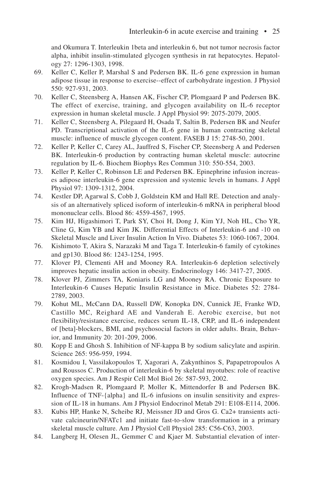and Okumura T. Interleukin 1beta and interleukin 6, but not tumor necrosis factor alpha, inhibit insulin-stimulated glycogen synthesis in rat hepatocytes. Hepatology 27: 1296-1303, 1998.

- 69. Keller C, Keller P, Marshal S and Pedersen BK. IL-6 gene expression in human adipose tissue in response to exercise--effect of carbohydrate ingestion. J Physiol 550: 927-931, 2003.
- 70. Keller C, Steensberg A, Hansen AK, Fischer CP, Plomgaard P and Pedersen BK. The effect of exercise, training, and glycogen availability on IL-6 receptor expression in human skeletal muscle. J Appl Physiol 99: 2075-2079, 2005.
- 71. Keller C, Steensberg A, Pilegaard H, Osada T, Saltin B, Pedersen BK and Neufer PD. Transcriptional activation of the IL-6 gene in human contracting skeletal muscle: influence of muscle glycogen content. FASEB J 15: 2748-50, 2001.
- 72. Keller P, Keller C, Carey AL, Jauffred S, Fischer CP, Steensberg A and Pedersen BK. Interleukin-6 production by contracting human skeletal muscle: autocrine regulation by IL-6. Biochem Biophys Res Commun 310: 550-554, 2003.
- 73. Keller P, Keller C, Robinson LE and Pedersen BK. Epinephrine infusion increases adipose interleukin-6 gene expression and systemic levels in humans. J Appl Physiol 97: 1309-1312, 2004.
- 74. Kestler DP, Agarwal S, Cobb J, Goldstein KM and Hall RE. Detection and analysis of an alternatively spliced isoform of interleukin-6 mRNA in peripheral blood mononuclear cells. Blood 86: 4559-4567, 1995.
- 75. Kim HJ, Higashimori T, Park SY, Choi H, Dong J, Kim YJ, Noh HL, Cho YR, Cline G, Kim YB and Kim JK. Differential Effects of Interleukin-6 and -10 on Skeletal Muscle and Liver Insulin Action In Vivo. Diabetes 53: 1060-1067, 2004.
- 76. Kishimoto T, Akira S, Narazaki M and Taga T. Interleukin-6 family of cytokines and gp130. Blood 86: 1243-1254, 1995.
- 77. Klover PJ, Clementi AH and Mooney RA. Interleukin-6 depletion selectively improves hepatic insulin action in obesity. Endocrinology 146: 3417-27, 2005.
- 78. Klover PJ, Zimmers TA, Koniaris LG and Mooney RA. Chronic Exposure to Interleukin-6 Causes Hepatic Insulin Resistance in Mice. Diabetes 52: 2784- 2789, 2003.
- 79. Kohut ML, McCann DA, Russell DW, Konopka DN, Cunnick JE, Franke WD, Castillo MC, Reighard AE and Vanderah E. Aerobic exercise, but not flexibility/resistance exercise, reduces serum IL-18, CRP, and IL-6 independent of [beta]-blockers, BMI, and psychosocial factors in older adults. Brain, Behavior, and Immunity 20: 201-209, 2006.
- 80. Kopp E and Ghosh S. Inhibition of NF-kappa B by sodium salicylate and aspirin. Science 265: 956-959, 1994.
- 81. Kosmidou I, Vassilakopoulos T, Xagorari A, Zakynthinos S, Papapetropoulos A and Roussos C. Production of interleukin-6 by skeletal myotubes: role of reactive oxygen species. Am J Respir Cell Mol Biol 26: 587-593, 2002.
- 82. Krogh-Madsen R, Plomgaard P, Moller K, Mittendorfer B and Pedersen BK. Influence of TNF-{alpha} and IL-6 infusions on insulin sensitivity and expression of IL-18 in humans. Am J Physiol Endocrinol Metab 291: E108-E114, 2006.
- 83. Kubis HP, Hanke N, Scheibe RJ, Meissner JD and Gros G. Ca2+ transients activate calcineurin/NFATc1 and initiate fast-to-slow transformation in a primary skeletal muscle culture. Am J Physiol Cell Physiol 285: C56-C63, 2003.
- 84. Langberg H, Olesen JL, Gemmer C and Kjaer M. Substantial elevation of inter-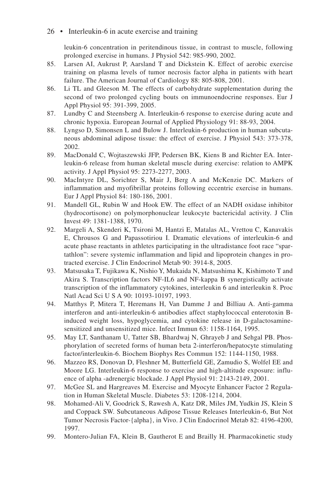leukin-6 concentration in peritendinous tissue, in contrast to muscle, following prolonged exercise in humans. J Physiol 542: 985-990, 2002.

- 85. Larsen AI, Aukrust P, Aarsland T and Dickstein K. Effect of aerobic exercise training on plasma levels of tumor necrosis factor alpha in patients with heart failure. The American Journal of Cardiology 88: 805-808, 2001.
- 86. Li TL and Gleeson M. The effects of carbohydrate supplementation during the second of two prolonged cycling bouts on immunoendocrine responses. Eur J Appl Physiol 95: 391-399, 2005.
- 87. Lundby C and Steensberg A. Interleukin-6 response to exercise during acute and chronic hypoxia. European Journal of Applied Physiology 91: 88-93, 2004.
- 88. Lyngso D, Simonsen L and Bulow J. Interleukin-6 production in human subcutaneous abdominal adipose tissue: the effect of exercise. J Physiol 543: 373-378, 2002.
- 89. MacDonald C, Wojtaszewski JFP, Pedersen BK, Kiens B and Richter EA. Interleukin-6 release from human skeletal muscle during exercise: relation to AMPK activity. J Appl Physiol 95: 2273-2277, 2003.
- 90. MacIntyre DL, Sorichter S, Mair J, Berg A and McKenzie DC. Markers of inflammation and myofibrillar proteins following eccentric exercise in humans. Eur J Appl Physiol 84: 180-186, 2001.
- 91. Mandell GL, Rubin W and Hook EW. The effect of an NADH oxidase inhibitor (hydrocortisone) on polymorphonuclear leukocyte bactericidal activity. J Clin Invest 49: 1381-1388, 1970.
- 92. Margeli A, Skenderi K, Tsironi M, Hantzi E, Matalas AL, Vrettou C, Kanavakis E, Chrousos G and Papassotiriou I. Dramatic elevations of interleukin-6 and acute phase reactants in athletes participating in the ultradistance foot race "spartathlon": severe systemic inflammation and lipid and lipoprotein changes in protracted exercise. J Clin Endocrinol Metab 90: 3914-8, 2005.
- 93. Matsusaka T, Fujikawa K, Nishio Y, Mukaida N, Matsushima K, Kishimoto T and Akira S. Transcription factors NF-IL6 and NF-kappa B synergistically activate transcription of the inflammatory cytokines, interleukin 6 and interleukin 8. Proc Natl Acad Sci U S A 90: 10193-10197, 1993.
- 94. Matthys P, Mitera T, Heremans H, Van Damme J and Billiau A. Anti-gamma interferon and anti-interleukin-6 antibodies affect staphylococcal enterotoxin Binduced weight loss, hypoglycemia, and cytokine release in D-galactosaminesensitized and unsensitized mice. Infect Immun 63: 1158-1164, 1995.
- 95. May LT, Santhanam U, Tatter SB, Bhardwaj N, Ghrayeb J and Sehgal PB. Phosphorylation of secreted forms of human beta 2-interferon/hepatocyte stimulating factor/interleukin-6. Biochem Biophys Res Commun 152: 1144-1150, 1988.
- 96. Mazzeo RS, Donovan D, Fleshner M, Butterfield GE, Zamudio S, Wolfel EE and Moore LG. Interleukin-6 response to exercise and high-altitude exposure: influence of alpha -adrenergic blockade. J Appl Physiol 91: 2143-2149, 2001.
- 97. McGee SL and Hargreaves M. Exercise and Myocyte Enhancer Factor 2 Regulation in Human Skeletal Muscle. Diabetes 53: 1208-1214, 2004.
- 98. Mohamed-Ali V, Goodrick S, Rawesh A, Katz DR, Miles JM, Yudkin JS, Klein S and Coppack SW. Subcutaneous Adipose Tissue Releases Interleukin-6, But Not Tumor Necrosis Factor-{alpha}, in Vivo. J Clin Endocrinol Metab 82: 4196-4200, 1997.
- 99. Montero-Julian FA, Klein B, Gautherot E and Brailly H. Pharmacokinetic study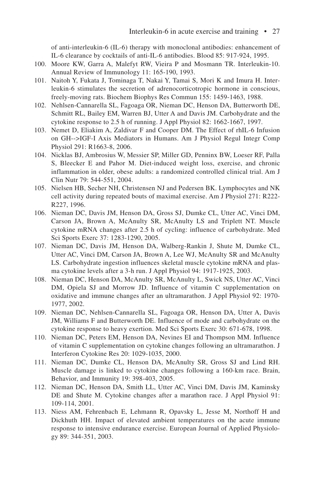of anti-interleukin-6 (IL-6) therapy with monoclonal antibodies: enhancement of IL-6 clearance by cocktails of anti-IL-6 antibodies. Blood 85: 917-924, 1995.

- 100. Moore KW, Garra A, Malefyt RW, Vieira P and Mosmann TR. Interleukin-10. Annual Review of Immunology 11: 165-190, 1993.
- 101. Naitoh Y, Fukata J, Tominaga T, Nakai Y, Tamai S, Mori K and Imura H. Interleukin-6 stimulates the secretion of adrenocorticotropic hormone in conscious, freely-moving rats. Biochem Biophys Res Commun 155: 1459-1463, 1988.
- 102. Nehlsen-Cannarella SL, Fagoaga OR, Nieman DC, Henson DA, Butterworth DE, Schmitt RL, Bailey EM, Warren BJ, Utter A and Davis JM. Carbohydrate and the cytokine response to 2.5 h of running. J Appl Physiol 82: 1662-1667, 1997.
- 103. Nemet D, Eliakim A, Zaldivar F and Cooper DM. The Effect of rhIL-6 Infusion on GH-->IGF-I Axis Mediators in Humans. Am J Physiol Regul Integr Comp Physiol 291: R1663-8, 2006.
- 104. Nicklas BJ, Ambrosius W, Messier SP, Miller GD, Penninx BW, Loeser RF, Palla S, Bleecker E and Pahor M. Diet-induced weight loss, exercise, and chronic inflammation in older, obese adults: a randomized controlled clinical trial. Am J Clin Nutr 79: 544-551, 2004.
- 105. Nielsen HB, Secher NH, Christensen NJ and Pedersen BK. Lymphocytes and NK cell activity during repeated bouts of maximal exercise. Am J Physiol 271: R222- R227, 1996.
- 106. Nieman DC, Davis JM, Henson DA, Gross SJ, Dumke CL, Utter AC, Vinci DM, Carson JA, Brown A, McAnulty SR, McAnulty LS and Triplett NT. Muscle cytokine mRNA changes after 2.5 h of cycling: influence of carbohydrate. Med Sci Sports Exerc 37: 1283-1290, 2005.
- 107. Nieman DC, Davis JM, Henson DA, Walberg-Rankin J, Shute M, Dumke CL, Utter AC, Vinci DM, Carson JA, Brown A, Lee WJ, McAnulty SR and McAnulty LS. Carbohydrate ingestion influences skeletal muscle cytokine mRNA and plasma cytokine levels after a 3-h run. J Appl Physiol 94: 1917-1925, 2003.
- 108. Nieman DC, Henson DA, McAnulty SR, McAnulty L, Swick NS, Utter AC, Vinci DM, Opiela SJ and Morrow JD. Influence of vitamin C supplementation on oxidative and immune changes after an ultramarathon. J Appl Physiol 92: 1970- 1977, 2002.
- 109. Nieman DC, Nehlsen-Cannarella SL, Fagoaga OR, Henson DA, Utter A, Davis JM, Williams F and Butterworth DE. Influence of mode and carbohydrate on the cytokine response to heavy exertion. Med Sci Sports Exerc 30: 671-678, 1998.
- 110. Nieman DC, Peters EM, Henson DA, Nevines EI and Thompson MM. Influence of vitamin C supplementation on cytokine changes following an ultramarathon. J Interferon Cytokine Res 20: 1029-1035, 2000.
- 111. Nieman DC, Dumke CL, Henson DA, McAnulty SR, Gross SJ and Lind RH. Muscle damage is linked to cytokine changes following a 160-km race. Brain, Behavior, and Immunity 19: 398-403, 2005.
- 112. Nieman DC, Henson DA, Smith LL, Utter AC, Vinci DM, Davis JM, Kaminsky DE and Shute M. Cytokine changes after a marathon race. J Appl Physiol 91: 109-114, 2001.
- 113. Niess AM, Fehrenbach E, Lehmann R, Opavsky L, Jesse M, Northoff H and Dickhuth HH. Impact of elevated ambient temperatures on the acute immune response to intensive endurance exercise. European Journal of Applied Physiology 89: 344-351, 2003.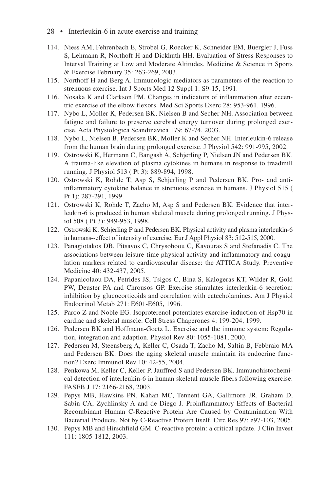- 28 Interleukin-6 in acute exercise and training
- 114. Niess AM, Fehrenbach E, Strobel G, Roecker K, Schneider EM, Buergler J, Fuss S, Lehmann R, Northoff H and Dickhuth HH. Evaluation of Stress Responses to Interval Training at Low and Moderate Altitudes. Medicine & Science in Sports & Exercise February 35: 263-269, 2003.
- 115. Northoff H and Berg A. Immunologic mediators as parameters of the reaction to strenuous exercise. Int J Sports Med 12 Suppl 1: S9-15, 1991.
- 116. Nosaka K and Clarkson PM. Changes in indicators of inflammation after eccentric exercise of the elbow flexors. Med Sci Sports Exerc 28: 953-961, 1996.
- 117. Nybo L, Moller K, Pedersen BK, Nielsen B and Secher NH. Association between fatigue and failure to preserve cerebral energy turnover during prolonged exercise. Acta Physiologica Scandinavica 179: 67-74, 2003.
- 118. Nybo L, Nielsen B, Pedersen BK, Moller K and Secher NH. Interleukin-6 release from the human brain during prolonged exercise. J Physiol 542: 991-995, 2002.
- 119. Ostrowski K, Hermann C, Bangash A, Schjerling P, Nielsen JN and Pedersen BK. A trauma-like elevation of plasma cytokines in humans in response to treadmill running. J Physiol 513 ( Pt 3): 889-894, 1998.
- 120. Ostrowski K, Rohde T, Asp S, Schjerling P and Pedersen BK. Pro- and antiinflammatory cytokine balance in strenuous exercise in humans. J Physiol 515 ( Pt 1): 287-291, 1999.
- 121. Ostrowski K, Rohde T, Zacho M, Asp S and Pedersen BK. Evidence that interleukin-6 is produced in human skeletal muscle during prolonged running. J Physiol 508 ( Pt 3): 949-953, 1998.
- 122. Ostrowski K, Schjerling P and Pedersen BK. Physical activity and plasma interleukin-6 in humans--effect of intensity of exercise. Eur J Appl Physiol 83: 512-515, 2000.
- 123. Panagiotakos DB, Pitsavos C, Chrysohoou C, Kavouras S and Stefanadis C. The associations between leisure-time physical activity and inflammatory and coagulation markers related to cardiovascular disease: the ATTICA Study. Preventive Medicine 40: 432-437, 2005.
- 124. Papanicolaou DA, Petrides JS, Tsigos C, Bina S, Kalogeras KT, Wilder R, Gold PW, Deuster PA and Chrousos GP. Exercise stimulates interleukin-6 secretion: inhibition by glucocorticoids and correlation with catecholamines. Am J Physiol Endocrinol Metab 271: E601-E605, 1996.
- 125. Paroo Z and Noble EG. Isoproterenol potentiates exercise-induction of Hsp70 in cardiac and skeletal muscle. Cell Stress Chaperones 4: 199-204, 1999.
- 126. Pedersen BK and Hoffmann-Goetz L. Exercise and the immune system: Regulation, integration and adaption. Physiol Rev 80: 1055-1081, 2000.
- 127. Pedersen M, Steensberg A, Keller C, Osada T, Zacho M, Saltin B, Febbraio MA and Pedersen BK. Does the aging skeletal muscle maintain its endocrine function? Exerc Immunol Rev 10: 42-55, 2004.
- 128. Penkowa M, Keller C, Keller P, Jauffred S and Pedersen BK. Immunohistochemical detection of interleukin-6 in human skeletal muscle fibers following exercise. FASEB J 17: 2166-2168, 2003.
- 129. Pepys MB, Hawkins PN, Kahan MC, Tennent GA, Gallimore JR, Graham D, Sabin CA, Zychlinsky A and de Diego J. Proinflammatory Effects of Bacterial Recombinant Human C-Reactive Protein Are Caused by Contamination With Bacterial Products, Not by C-Reactive Protein Itself. Circ Res 97: e97-103, 2005.
- 130. Pepys MB and Hirschfield GM. C-reactive protein: a critical update. J Clin Invest 111: 1805-1812, 2003.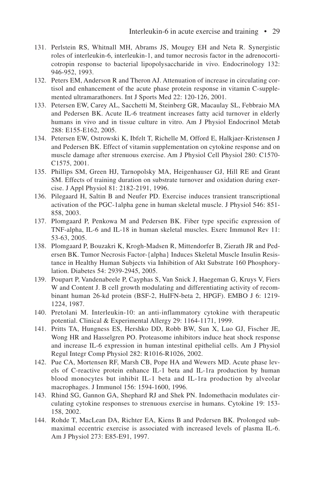- 131. Perlstein RS, Whitnall MH, Abrams JS, Mougey EH and Neta R. Synergistic roles of interleukin-6, interleukin-1, and tumor necrosis factor in the adrenocorticotropin response to bacterial lipopolysaccharide in vivo. Endocrinology 132: 946-952, 1993.
- 132. Peters EM, Anderson R and Theron AJ. Attenuation of increase in circulating cortisol and enhancement of the acute phase protein response in vitamin C-supplemented ultramarathoners. Int J Sports Med 22: 120-126, 2001.
- 133. Petersen EW, Carey AL, Sacchetti M, Steinberg GR, Macaulay SL, Febbraio MA and Pedersen BK. Acute IL-6 treatment increases fatty acid turnover in elderly humans in vivo and in tissue culture in vitro. Am J Physiol Endocrinol Metab 288: E155-E162, 2005.
- 134. Petersen EW, Ostrowski K, Ibfelt T, Richelle M, Offord E, Halkjaer-Kristensen J and Pedersen BK. Effect of vitamin supplementation on cytokine response and on muscle damage after strenuous exercise. Am J Physiol Cell Physiol 280: C1570- C1575, 2001.
- 135. Phillips SM, Green HJ, Tarnopolsky MA, Heigenhauser GJ, Hill RE and Grant SM. Effects of training duration on substrate turnover and oxidation during exercise. J Appl Physiol 81: 2182-2191, 1996.
- 136. Pilegaard H, Saltin B and Neufer PD. Exercise induces transient transcriptional activation of the PGC-1alpha gene in human skeletal muscle. J Physiol 546: 851- 858, 2003.
- 137. Plomgaard P, Penkowa M and Pedersen BK. Fiber type specific expression of TNF-alpha, IL-6 and IL-18 in human skeletal muscles. Exerc Immunol Rev 11: 53-63, 2005.
- 138. Plomgaard P, Bouzakri K, Krogh-Madsen R, Mittendorfer B, Zierath JR and Pedersen BK. Tumor Necrosis Factor-{alpha} Induces Skeletal Muscle Insulin Resistance in Healthy Human Subjects via Inhibition of Akt Substrate 160 Phosphorylation. Diabetes 54: 2939-2945, 2005.
- 139. Poupart P, Vandenabeele P, Cayphas S, Van Snick J, Haegeman G, Kruys V, Fiers W and Content J. B cell growth modulating and differentiating activity of recombinant human 26-kd protein (BSF-2, HuIFN-beta 2, HPGF). EMBO J 6: 1219- 1224, 1987.
- 140. Pretolani M. Interleukin-10: an anti-inflammatory cytokine with therapeutic potential. Clinical & Experimental Allergy 29: 1164-1171, 1999.
- 141. Pritts TA, Hungness ES, Hershko DD, Robb BW, Sun X, Luo GJ, Fischer JE, Wong HR and Hasselgren PO. Proteasome inhibitors induce heat shock response and increase IL-6 expression in human intestinal epithelial cells. Am J Physiol Regul Integr Comp Physiol 282: R1016-R1026, 2002.
- 142. Pue CA, Mortensen RF, Marsh CB, Pope HA and Wewers MD. Acute phase levels of C-reactive protein enhance IL-1 beta and IL-1ra production by human blood monocytes but inhibit IL-1 beta and IL-1ra production by alveolar macrophages. J Immunol 156: 1594-1600, 1996.
- 143. Rhind SG, Gannon GA, Shephard RJ and Shek PN. Indomethacin modulates circulating cytokine responses to strenuous exercise in humans. Cytokine 19: 153- 158, 2002.
- 144. Rohde T, MacLean DA, Richter EA, Kiens B and Pedersen BK. Prolonged submaximal eccentric exercise is associated with increased levels of plasma IL-6. Am J Physiol 273: E85-E91, 1997.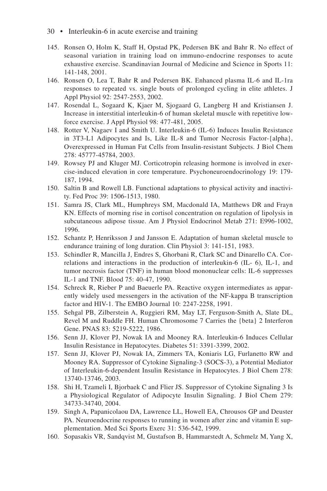- 30 Interleukin-6 in acute exercise and training
- 145. Ronsen O, Holm K, Staff H, Opstad PK, Pedersen BK and Bahr R. No effect of seasonal variation in training load on immuno-endocrine responses to acute exhaustive exercise. Scandinavian Journal of Medicine and Science in Sports 11: 141-148, 2001.
- 146. Ronsen O, Lea T, Bahr R and Pedersen BK. Enhanced plasma IL-6 and IL-1ra responses to repeated vs. single bouts of prolonged cycling in elite athletes. J Appl Physiol 92: 2547-2553, 2002.
- 147. Rosendal L, Sogaard K, Kjaer M, Sjogaard G, Langberg H and Kristiansen J. Increase in interstitial interleukin-6 of human skeletal muscle with repetitive lowforce exercise. J Appl Physiol 98: 477-481, 2005.
- 148. Rotter V, Nagaev I and Smith U. Interleukin-6 (IL-6) Induces Insulin Resistance in 3T3-L1 Adipocytes and Is, Like IL-8 and Tumor Necrosis Factor-{alpha}, Overexpressed in Human Fat Cells from Insulin-resistant Subjects. J Biol Chem 278: 45777-45784, 2003.
- 149. Rowsey PJ and Kluger MJ. Corticotropin releasing hormone is involved in exercise-induced elevation in core temperature. Psychoneuroendocrinology 19: 179- 187, 1994.
- 150. Saltin B and Rowell LB. Functional adaptations to physical activity and inactivity. Fed Proc 39: 1506-1513, 1980.
- 151. Samra JS, Clark ML, Humphreys SM, Macdonald IA, Matthews DR and Frayn KN. Effects of morning rise in cortisol concentration on regulation of lipolysis in subcutaneous adipose tissue. Am J Physiol Endocrinol Metab 271: E996-1002, 1996.
- 152. Schantz P, Henriksson J and Jansson E. Adaptation of human skeletal muscle to endurance training of long duration. Clin Physiol 3: 141-151, 1983.
- 153. Schindler R, Mancilla J, Endres S, Ghorbani R, Clark SC and Dinarello CA. Correlations and interactions in the production of interleukin-6 (IL- 6), IL-1, and tumor necrosis factor (TNF) in human blood mononuclear cells: IL-6 suppresses IL-1 and TNF. Blood 75: 40-47, 1990.
- 154. Schreck R, Rieber P and Baeuerle PA. Reactive oxygen intermediates as apparently widely used messengers in the activation of the NF-kappa B transcription factor and HIV-1. The EMBO Journal 10: 2247-2258, 1991.
- 155. Sehgal PB, Zilberstein A, Ruggieri RM, May LT, Ferguson-Smith A, Slate DL, Revel M and Ruddle FH. Human Chromosome 7 Carries the {beta} 2 Interferon Gene. PNAS 83: 5219-5222, 1986.
- 156. Senn JJ, Klover PJ, Nowak IA and Mooney RA. Interleukin-6 Induces Cellular Insulin Resistance in Hepatocytes. Diabetes 51: 3391-3399, 2002.
- 157. Senn JJ, Klover PJ, Nowak IA, Zimmers TA, Koniaris LG, Furlanetto RW and Mooney RA. Suppressor of Cytokine Signaling-3 (SOCS-3), a Potential Mediator of Interleukin-6-dependent Insulin Resistance in Hepatocytes. J Biol Chem 278: 13740-13746, 2003.
- 158. Shi H, Tzameli I, Bjorbaek C and Flier JS. Suppressor of Cytokine Signaling 3 Is a Physiological Regulator of Adipocyte Insulin Signaling. J Biol Chem 279: 34733-34740, 2004.
- 159. Singh A, Papanicolaou DA, Lawrence LL, Howell EA, Chrousos GP and Deuster PA. Neuroendocrine responses to running in women after zinc and vitamin E supplementation. Med Sci Sports Exerc 31: 536-542, 1999.
- 160. Sopasakis VR, Sandqvist M, Gustafson B, Hammarstedt A, Schmelz M, Yang X,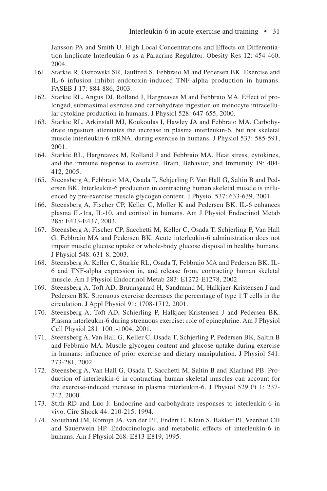Jansson PA and Smith U. High Local Concentrations and Effects on Differentiation Implicate Interleukin-6 as a Paracrine Regulator. Obesity Res 12: 454-460, 2004.

- 161. Starkie R, Ostrowski SR, Jauffred S, Febbraio M and Pedersen BK. Exercise and IL-6 infusion inhibit endotoxin-induced TNF-alpha production in humans. FASEB J 17: 884-886, 2003.
- 162. Starkie RL, Angus DJ, Rolland J, Hargreaves M and Febbraio MA. Effect of prolonged, submaximal exercise and carbohydrate ingestion on monocyte intracellular cytokine production in humans. J Physiol 528: 647-655, 2000.
- 163. Starkie RL, Arkinstall MJ, Koukoulas I, Hawley JA and Febbraio MA. Carbohydrate ingestion attenuates the increase in plasma interleukin-6, but not skeletal muscle interleukin-6 mRNA, during exercise in humans. J Physiol 533: 585-591, 2001.
- 164. Starkie RL, Hargreaves M, Rolland J and Febbraio MA. Heat stress, cytokines, and the immune response to exercise. Brain, Behavior, and Immunity 19: 404- 412, 2005.
- 165. Steensberg A, Febbraio MA, Osada T, Schjerling P, Van Hall G, Saltin B and Pedersen BK. Interleukin-6 production in contracting human skeletal muscle is influenced by pre-exercise muscle glycogen content. J Physiol 537: 633-639, 2001.
- 166. Steensberg A, Fischer CP, Keller C, Moller K and Pedersen BK. IL-6 enhances plasma IL-1ra, IL-10, and cortisol in humans. Am J Physiol Endocrinol Metab 285: E433-E437, 2003.
- 167. Steensberg A, Fischer CP, Sacchetti M, Keller C, Osada T, Schjerling P, Van Hall G, Febbraio MA and Pedersen BK. Acute interleukin-6 administration does not impair muscle glucose uptake or whole-body glucose disposal in healthy humans. J Physiol 548: 631-8, 2003.
- 168. Steensberg A, Keller C, Starkie RL, Osada T, Febbraio MA and Pedersen BK. IL-6 and TNF-alpha expression in, and release from, contracting human skeletal muscle. Am J Physiol Endocrinol Metab 283: E1272-E1278, 2002.
- 169. Steensberg A, Toft AD, Bruunsgaard H, Sandmand M, Halkjaer-Kristensen J and Pedersen BK. Strenuous exercise decreases the percentage of type 1 T cells in the circulation. J Appl Physiol 91: 1708-1712, 2001.
- 170. Steensberg A, Toft AD, Schjerling P, Halkjaer-Kristensen J and Pedersen BK. Plasma interleukin-6 during strenuous exercise: role of epinephrine. Am J Physiol Cell Physiol 281: 1001-1004, 2001.
- 171. Steensberg A, Van Hall G, Keller C, Osada T, Schjerling P, Pedersen BK, Saltin B and Febbraio MA. Muscle glycogen content and glucose uptake during exercise in humans: influence of prior exercise and dietary manipulation. J Physiol 541: 273-281, 2002.
- 172. Steensberg A, Van Hall G, Osada T, Sacchetti M, Saltin B and Klarlund PB. Production of interleukin-6 in contracting human skeletal muscles can account for the exercise-induced increase in plasma interleukin-6. J Physiol 529 Pt 1: 237- 242, 2000.
- 173. Stith RD and Luo J. Endocrine and carbohydrate responses to interleukin-6 in vivo. Circ Shock 44: 210-215, 1994.
- 174. Stouthard JM, Romijn JA, van der PT, Endert E, Klein S, Bakker PJ, Veenhof CH and Sauerwein HP. Endocrinologic and metabolic effects of interleukin-6 in humans. Am J Physiol 268: E813-E819, 1995.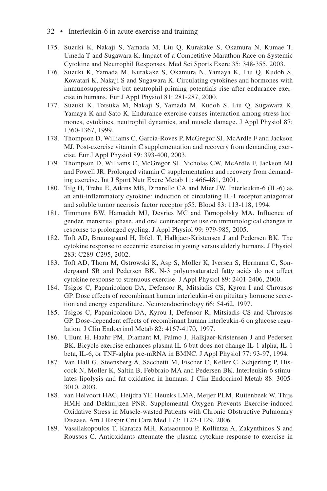- 32 Interleukin-6 in acute exercise and training
- 175. Suzuki K, Nakaji S, Yamada M, Liu Q, Kurakake S, Okamura N, Kumae T, Umeda T and Sugawara K. Impact of a Competitive Marathon Race on Systemic Cytokine and Neutrophil Responses. Med Sci Sports Exerc 35: 348-355, 2003.
- 176. Suzuki K, Yamada M, Kurakake S, Okamura N, Yamaya K, Liu Q, Kudoh S, Kowatari K, Nakaji S and Sugawara K. Circulating cytokines and hormones with immunosuppressive but neutrophil-priming potentials rise after endurance exercise in humans. Eur J Appl Physiol 81: 281-287, 2000.
- 177. Suzuki K, Totsuka M, Nakaji S, Yamada M, Kudoh S, Liu Q, Sugawara K, Yamaya K and Sato K. Endurance exercise causes interaction among stress hormones, cytokines, neutrophil dynamics, and muscle damage. J Appl Physiol 87: 1360-1367, 1999.
- 178. Thompson D, Williams C, Garcia-Roves P, McGregor SJ, McArdle F and Jackson MJ. Post-exercise vitamin C supplementation and recovery from demanding exercise. Eur J Appl Physiol 89: 393-400, 2003.
- 179. Thompson D, Williams C, McGregor SJ, Nicholas CW, McArdle F, Jackson MJ and Powell JR. Prolonged vitamin C supplementation and recovery from demanding exercise. Int J Sport Nutr Exerc Metab 11: 466-481, 2001.
- 180. Tilg H, Trehu E, Atkins MB, Dinarello CA and Mier JW. Interleukin-6 (IL-6) as an anti-inflammatory cytokine: induction of circulating IL-1 receptor antagonist and soluble tumor necrosis factor receptor p55. Blood 83: 113-118, 1994.
- 181. Timmons BW, Hamadeh MJ, Devries MC and Tarnopolsky MA. Influence of gender, menstrual phase, and oral contraceptive use on immunological changes in response to prolonged cycling. J Appl Physiol 99: 979-985, 2005.
- 182. Toft AD, Bruunsgaard H, Ibfelt T, Halkjaer-Kristensen J and Pedersen BK. The cytokine response to eccentric exercise in young versus elderly humans. J Physiol 283: C289-C295, 2002.
- 183. Toft AD, Thorn M, Ostrowski K, Asp S, Moller K, Iversen S, Hermann C, Sondergaard SR and Pedersen BK. N-3 polyunsaturated fatty acids do not affect cytokine response to strenuous exercise. J Appl Physiol 89: 2401-2406, 2000.
- 184. Tsigos C, Papanicolaou DA, Defensor R, Mitsiadis CS, Kyrou I and Chrousos GP. Dose effects of recombinant human interleukin-6 on pituitary hormone secretion and energy expenditure. Neuroendocrinology 66: 54-62, 1997.
- 185. Tsigos C, Papanicolaou DA, Kyrou I, Defensor R, Mitsiadis CS and Chrousos GP. Dose-dependent effects of recombinant human interleukin-6 on glucose regulation. J Clin Endocrinol Metab 82: 4167-4170, 1997.
- 186. Ullum H, Haahr PM, Diamant M, Palmo J, Halkjaer-Kristensen J and Pedersen BK. Bicycle exercise enhances plasma IL-6 but does not change IL-1 alpha, IL-1 beta, IL-6, or TNF-alpha pre-mRNA in BMNC. J Appl Physiol 77: 93-97, 1994.
- 187. Van Hall G, Steensberg A, Sacchetti M, Fischer C, Keller C, Schjerling P, Hiscock N, Moller K, Saltin B, Febbraio MA and Pedersen BK. Interleukin-6 stimulates lipolysis and fat oxidation in humans. J Clin Endocrinol Metab 88: 3005- 3010, 2003.
- 188. van Helvoort HAC, Heijdra YF, Heunks LMA, Meijer PLM, Ruitenbeek W, Thijs HMH and Dekhuijzen PNR. Supplemental Oxygen Prevents Exercise-induced Oxidative Stress in Muscle-wasted Patients with Chronic Obstructive Pulmonary Disease. Am J Respir Crit Care Med 173: 1122-1129, 2006.
- 189. Vassilakopoulos T, Karatza MH, Katsaounou P, Kollintza A, Zakynthinos S and Roussos C. Antioxidants attenuate the plasma cytokine response to exercise in